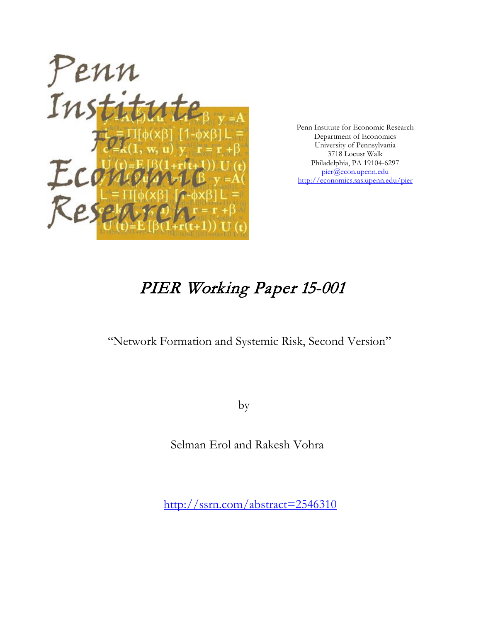

Penn Institute for Economic Research Department of Economics University of Pennsylvania 3718 Locust Walk Philadelphia, PA 19104-6297 [pier@econ.upenn.edu](mailto:pier@econ.upenn.edu) <http://economics.sas.upenn.edu/pier>

# PIER Working Paper 15-001

"Network Formation and Systemic Risk, Second Version"

by

Selman Erol and Rakesh Vohra

[http://ssrn.com/abstract=2](http://ssrn.com/abstract_id=)546310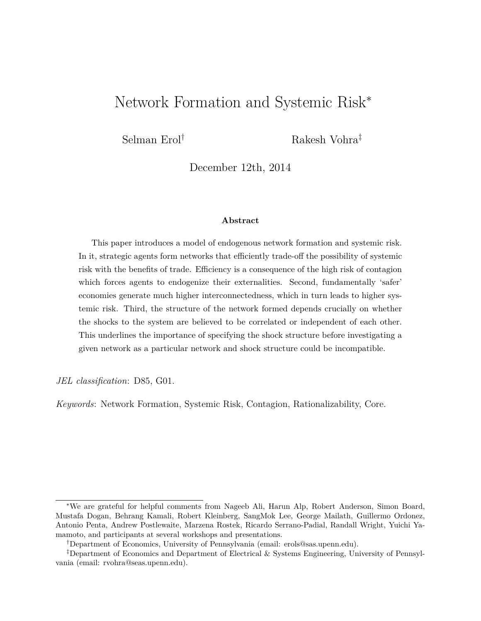# Network Formation and Systemic Risk<sup>∗</sup>

Selman Erol<sup>†</sup> Rakesh Vohra<sup>‡</sup>

December 12th, 2014

#### **Abstract**

This paper introduces a model of endogenous network formation and systemic risk. In it, strategic agents form networks that efficiently trade-off the possibility of systemic risk with the benefits of trade. Efficiency is a consequence of the high risk of contagion which forces agents to endogenize their externalities. Second, fundamentally 'safer' economies generate much higher interconnectedness, which in turn leads to higher systemic risk. Third, the structure of the network formed depends crucially on whether the shocks to the system are believed to be correlated or independent of each other. This underlines the importance of specifying the shock structure before investigating a given network as a particular network and shock structure could be incompatible.

*JEL classification*: D85, G01.

*Keywords*: Network Formation, Systemic Risk, Contagion, Rationalizability, Core.

<sup>∗</sup>We are grateful for helpful comments from Nageeb Ali, Harun Alp, Robert Anderson, Simon Board, Mustafa Dogan, Behrang Kamali, Robert Kleinberg, SangMok Lee, George Mailath, Guillermo Ordonez, Antonio Penta, Andrew Postlewaite, Marzena Rostek, Ricardo Serrano-Padial, Randall Wright, Yuichi Yamamoto, and participants at several workshops and presentations.

<sup>†</sup>Department of Economics, University of Pennsylvania (email: erols@sas.upenn.edu).

<sup>‡</sup>Department of Economics and Department of Electrical & Systems Engineering, University of Pennsylvania (email: rvohra@seas.upenn.edu).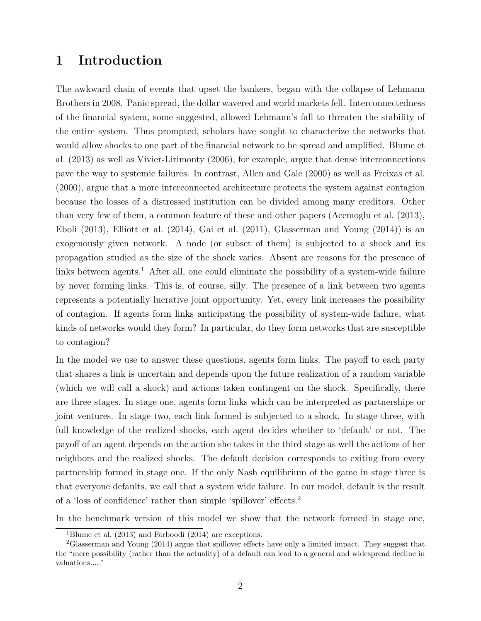### **1 Introduction**

The awkward chain of events that upset the bankers, began with the collapse of Lehmann Brothers in 2008. Panic spread, the dollar wavered and world markets fell. Interconnectedness of the financial system, some suggested, allowed Lehmann's fall to threaten the stability of the entire system. Thus prompted, scholars have sought to characterize the networks that would allow shocks to one part of the financial network to be spread and amplified. Blume et al. (2013) as well as Vivier-Lirimonty (2006), for example, argue that dense interconnections pave the way to systemic failures. In contrast, Allen and Gale (2000) as well as Freixas et al. (2000), argue that a more interconnected architecture protects the system against contagion because the losses of a distressed institution can be divided among many creditors. Other than very few of them, a common feature of these and other papers (Acemoglu et al. (2013), Eboli (2013), Elliott et al. (2014), Gai et al. (2011), Glasserman and Young (2014)) is an exogenously given network. A node (or subset of them) is subjected to a shock and its propagation studied as the size of the shock varies. Absent are reasons for the presence of links between agents.<sup>1</sup> After all, one could eliminate the possibility of a system-wide failure by never forming links. This is, of course, silly. The presence of a link between two agents represents a potentially lucrative joint opportunity. Yet, every link increases the possibility of contagion. If agents form links anticipating the possibility of system-wide failure, what kinds of networks would they form? In particular, do they form networks that are susceptible to contagion?

In the model we use to answer these questions, agents form links. The payoff to each party that shares a link is uncertain and depends upon the future realization of a random variable (which we will call a shock) and actions taken contingent on the shock. Specifically, there are three stages. In stage one, agents form links which can be interpreted as partnerships or joint ventures. In stage two, each link formed is subjected to a shock. In stage three, with full knowledge of the realized shocks, each agent decides whether to 'default' or not. The payoff of an agent depends on the action she takes in the third stage as well the actions of her neighbors and the realized shocks. The default decision corresponds to exiting from every partnership formed in stage one. If the only Nash equilibrium of the game in stage three is that everyone defaults, we call that a system wide failure. In our model, default is the result of a 'loss of confidence' rather than simple 'spillover' effects.<sup>2</sup>

In the benchmark version of this model we show that the network formed in stage one,

<sup>&</sup>lt;sup>1</sup>Blume et al. (2013) and Farboodi (2014) are exceptions.

<sup>2</sup>Glasserman and Young (2014) argue that spillover effects have only a limited impact. They suggest that the "mere possibility (rather than the actuality) of a default can lead to a general and widespread decline in valuations....."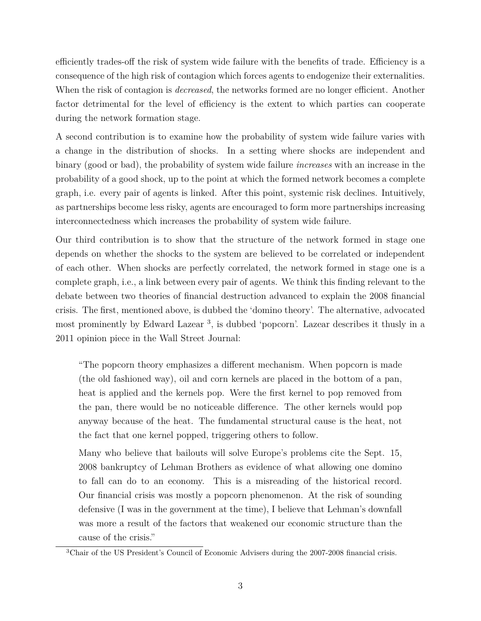efficiently trades-off the risk of system wide failure with the benefits of trade. Efficiency is a consequence of the high risk of contagion which forces agents to endogenize their externalities. When the risk of contagion is *decreased*, the networks formed are no longer efficient. Another factor detrimental for the level of efficiency is the extent to which parties can cooperate during the network formation stage.

A second contribution is to examine how the probability of system wide failure varies with a change in the distribution of shocks. In a setting where shocks are independent and binary (good or bad), the probability of system wide failure *increases* with an increase in the probability of a good shock, up to the point at which the formed network becomes a complete graph, i.e. every pair of agents is linked. After this point, systemic risk declines. Intuitively, as partnerships become less risky, agents are encouraged to form more partnerships increasing interconnectedness which increases the probability of system wide failure.

Our third contribution is to show that the structure of the network formed in stage one depends on whether the shocks to the system are believed to be correlated or independent of each other. When shocks are perfectly correlated, the network formed in stage one is a complete graph, i.e., a link between every pair of agents. We think this finding relevant to the debate between two theories of financial destruction advanced to explain the 2008 financial crisis. The first, mentioned above, is dubbed the 'domino theory'. The alternative, advocated most prominently by Edward Lazear<sup>3</sup>, is dubbed 'popcorn'. Lazear describes it thusly in a 2011 opinion piece in the Wall Street Journal:

"The popcorn theory emphasizes a different mechanism. When popcorn is made (the old fashioned way), oil and corn kernels are placed in the bottom of a pan, heat is applied and the kernels pop. Were the first kernel to pop removed from the pan, there would be no noticeable difference. The other kernels would pop anyway because of the heat. The fundamental structural cause is the heat, not the fact that one kernel popped, triggering others to follow.

Many who believe that bailouts will solve Europe's problems cite the Sept. 15, 2008 bankruptcy of Lehman Brothers as evidence of what allowing one domino to fall can do to an economy. This is a misreading of the historical record. Our financial crisis was mostly a popcorn phenomenon. At the risk of sounding defensive (I was in the government at the time), I believe that Lehman's downfall was more a result of the factors that weakened our economic structure than the cause of the crisis."

<sup>3</sup>Chair of the US President's Council of Economic Advisers during the 2007-2008 financial crisis.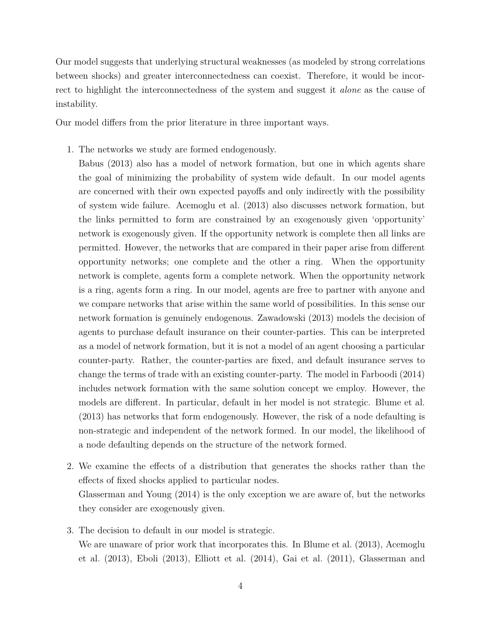Our model suggests that underlying structural weaknesses (as modeled by strong correlations between shocks) and greater interconnectedness can coexist. Therefore, it would be incorrect to highlight the interconnectedness of the system and suggest it *alone* as the cause of instability.

Our model differs from the prior literature in three important ways.

1. The networks we study are formed endogenously.

Babus (2013) also has a model of network formation, but one in which agents share the goal of minimizing the probability of system wide default. In our model agents are concerned with their own expected payoffs and only indirectly with the possibility of system wide failure. Acemoglu et al. (2013) also discusses network formation, but the links permitted to form are constrained by an exogenously given 'opportunity' network is exogenously given. If the opportunity network is complete then all links are permitted. However, the networks that are compared in their paper arise from different opportunity networks; one complete and the other a ring. When the opportunity network is complete, agents form a complete network. When the opportunity network is a ring, agents form a ring. In our model, agents are free to partner with anyone and we compare networks that arise within the same world of possibilities. In this sense our network formation is genuinely endogenous. Zawadowski (2013) models the decision of agents to purchase default insurance on their counter-parties. This can be interpreted as a model of network formation, but it is not a model of an agent choosing a particular counter-party. Rather, the counter-parties are fixed, and default insurance serves to change the terms of trade with an existing counter-party. The model in Farboodi (2014) includes network formation with the same solution concept we employ. However, the models are different. In particular, default in her model is not strategic. Blume et al. (2013) has networks that form endogenously. However, the risk of a node defaulting is non-strategic and independent of the network formed. In our model, the likelihood of a node defaulting depends on the structure of the network formed.

- 2. We examine the effects of a distribution that generates the shocks rather than the effects of fixed shocks applied to particular nodes. Glasserman and Young (2014) is the only exception we are aware of, but the networks they consider are exogenously given.
- 3. The decision to default in our model is strategic. We are unaware of prior work that incorporates this. In Blume et al. (2013), Acemoglu et al. (2013), Eboli (2013), Elliott et al. (2014), Gai et al. (2011), Glasserman and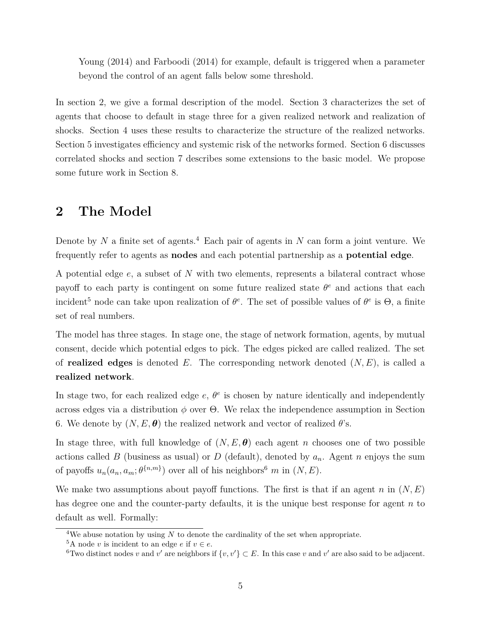Young (2014) and Farboodi (2014) for example, default is triggered when a parameter beyond the control of an agent falls below some threshold.

In section 2, we give a formal description of the model. Section 3 characterizes the set of agents that choose to default in stage three for a given realized network and realization of shocks. Section 4 uses these results to characterize the structure of the realized networks. Section 5 investigates efficiency and systemic risk of the networks formed. Section 6 discusses correlated shocks and section 7 describes some extensions to the basic model. We propose some future work in Section 8.

### **2 The Model**

Denote by *N* a finite set of agents.<sup>4</sup> Each pair of agents in *N* can form a joint venture. We frequently refer to agents as **nodes** and each potential partnership as a **potential edge**.

A potential edge *e*, a subset of *N* with two elements, represents a bilateral contract whose payoff to each party is contingent on some future realized state *θ <sup>e</sup>* and actions that each incident<sup>5</sup> node can take upon realization of  $\theta^e$ . The set of possible values of  $\theta^e$  is  $\Theta$ , a finite set of real numbers.

The model has three stages. In stage one, the stage of network formation, agents, by mutual consent, decide which potential edges to pick. The edges picked are called realized. The set of **realized edges** is denoted *E*. The corresponding network denoted (*N, E*), is called a **realized network**.

In stage two, for each realized edge  $e, \theta^e$  is chosen by nature identically and independently across edges via a distribution  $\phi$  over  $\Theta$ . We relax the independence assumption in Section 6. We denote by  $(N, E, \theta)$  the realized network and vector of realized  $\theta$ 's.

In stage three, with full knowledge of  $(N, E, \theta)$  each agent *n* chooses one of two possible actions called *B* (business as usual) or *D* (default), denoted by *an*. Agent *n* enjoys the sum of payoffs  $u_n(a_n, a_m; \theta^{\{n,m\}})$  over all of his neighbors<sup>6</sup> *m* in  $(N, E)$ .

We make two assumptions about payoff functions. The first is that if an agent *n* in (*N, E*) has degree one and the counter-party defaults, it is the unique best response for agent *n* to default as well. Formally:

<sup>&</sup>lt;sup>4</sup>We abuse notation by using *N* to denote the cardinality of the set when appropriate.

<sup>&</sup>lt;sup>5</sup>A node *v* is incident to an edge *e* if  $v \in e$ .

<sup>&</sup>lt;sup>6</sup>Two distinct nodes *v* and *v*' are neighbors if  $\{v, v'\} \subset E$ . In this case *v* and *v*' are also said to be adjacent.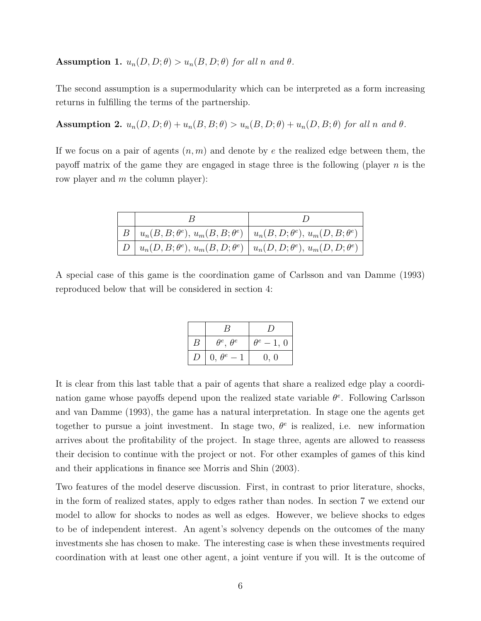#### **Assumption 1.**  $u_n(D, D; \theta) > u_n(B, D; \theta)$  for all *n* and  $\theta$ .

The second assumption is a supermodularity which can be interpreted as a form increasing returns in fulfilling the terms of the partnership.

**Assumption 2.**  $u_n(D, D; \theta) + u_n(B, B; \theta) > u_n(B, D; \theta) + u_n(D, B; \theta)$  for all n and  $\theta$ .

If we focus on a pair of agents (*n, m*) and denote by *e* the realized edge between them, the payoff matrix of the game they are engaged in stage three is the following (player *n* is the row player and *m* the column player):

| $B \mid u_n(B, B; \theta^e), u_m(B, B; \theta^e) \mid u_n(B, D; \theta^e), u_m(D, B; \theta^e)$ |  |
|-------------------------------------------------------------------------------------------------|--|
| $D \mid u_n(D, B; \theta^e), u_m(B, D; \theta^e) \mid u_n(D, D; \theta^e), u_m(D, D; \theta^e)$ |  |

A special case of this game is the coordination game of Carlsson and van Damme (1993) reproduced below that will be considered in section 4:

| $\boldsymbol{B}$ | $\theta^e$ , $\theta^e$ | $\theta^e-1, 0$ |
|------------------|-------------------------|-----------------|
| D                | $0, \theta^e-1$         | 0, 0            |

It is clear from this last table that a pair of agents that share a realized edge play a coordination game whose payoffs depend upon the realized state variable *θ e* . Following Carlsson and van Damme (1993), the game has a natural interpretation. In stage one the agents get together to pursue a joint investment. In stage two,  $\theta^e$  is realized, i.e. new information arrives about the profitability of the project. In stage three, agents are allowed to reassess their decision to continue with the project or not. For other examples of games of this kind and their applications in finance see Morris and Shin (2003).

Two features of the model deserve discussion. First, in contrast to prior literature, shocks, in the form of realized states, apply to edges rather than nodes. In section 7 we extend our model to allow for shocks to nodes as well as edges. However, we believe shocks to edges to be of independent interest. An agent's solvency depends on the outcomes of the many investments she has chosen to make. The interesting case is when these investments required coordination with at least one other agent, a joint venture if you will. It is the outcome of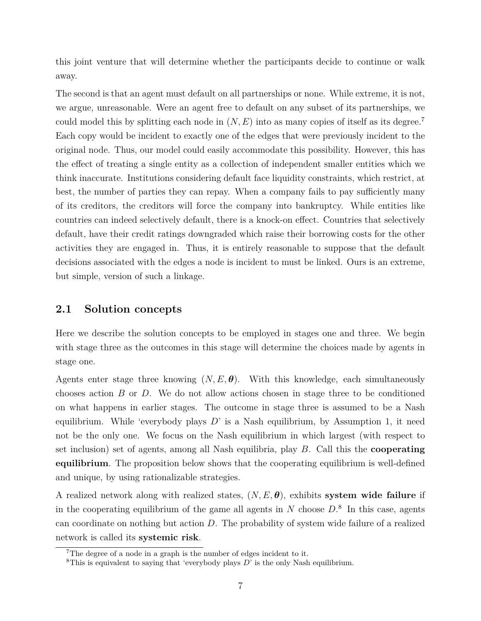this joint venture that will determine whether the participants decide to continue or walk away.

The second is that an agent must default on all partnerships or none. While extreme, it is not, we argue, unreasonable. Were an agent free to default on any subset of its partnerships, we could model this by splitting each node in  $(N, E)$  into as many copies of itself as its degree.<sup>7</sup> Each copy would be incident to exactly one of the edges that were previously incident to the original node. Thus, our model could easily accommodate this possibility. However, this has the effect of treating a single entity as a collection of independent smaller entities which we think inaccurate. Institutions considering default face liquidity constraints, which restrict, at best, the number of parties they can repay. When a company fails to pay sufficiently many of its creditors, the creditors will force the company into bankruptcy. While entities like countries can indeed selectively default, there is a knock-on effect. Countries that selectively default, have their credit ratings downgraded which raise their borrowing costs for the other activities they are engaged in. Thus, it is entirely reasonable to suppose that the default decisions associated with the edges a node is incident to must be linked. Ours is an extreme, but simple, version of such a linkage.

### **2.1 Solution concepts**

Here we describe the solution concepts to be employed in stages one and three. We begin with stage three as the outcomes in this stage will determine the choices made by agents in stage one.

Agents enter stage three knowing  $(N, E, \theta)$ . With this knowledge, each simultaneously chooses action *B* or *D*. We do not allow actions chosen in stage three to be conditioned on what happens in earlier stages. The outcome in stage three is assumed to be a Nash equilibrium. While 'everybody plays *D*' is a Nash equilibrium, by Assumption 1, it need not be the only one. We focus on the Nash equilibrium in which largest (with respect to set inclusion) set of agents, among all Nash equilibria, play *B*. Call this the **cooperating equilibrium**. The proposition below shows that the cooperating equilibrium is well-defined and unique, by using rationalizable strategies.

A realized network along with realized states, (*N, E, θ*), exhibits **system wide failure** if in the cooperating equilibrium of the game all agents in  $N$  choose  $D$ <sup>8</sup>. In this case, agents can coordinate on nothing but action *D*. The probability of system wide failure of a realized network is called its **systemic risk**.

<sup>7</sup>The degree of a node in a graph is the number of edges incident to it.

<sup>8</sup>This is equivalent to saying that 'everybody plays *D*' is the only Nash equilibrium.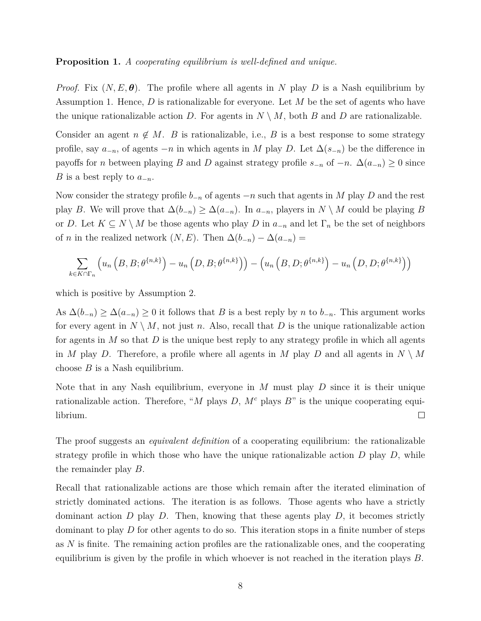**Proposition 1.** *A cooperating equilibrium is well-defined and unique.*

*Proof.* Fix  $(N, E, \theta)$ . The profile where all agents in N play D is a Nash equilibrium by Assumption 1. Hence, *D* is rationalizable for everyone. Let *M* be the set of agents who have the unique rationalizable action *D*. For agents in  $N \setminus M$ , both *B* and *D* are rationalizable.

Consider an agent  $n \notin M$ . *B* is rationalizable, i.e., *B* is a best response to some strategy profile, say  $a_{-n}$ , of agents  $-n$  in which agents in *M* play *D*. Let  $\Delta(s_{-n})$  be the difference in payoffs for *n* between playing *B* and *D* against strategy profile  $s_{-n}$  of  $-n$ .  $\Delta(a_{-n}) \geq 0$  since *B* is a best reply to *a*<sup>−</sup>*n*.

Now consider the strategy profile *b*<sup>−</sup>*<sup>n</sup>* of agents −*n* such that agents in *M* play *D* and the rest play *B*. We will prove that  $\Delta(b_{-n}) \geq \Delta(a_{-n})$ . In  $a_{-n}$ , players in  $N \setminus M$  could be playing *B* or *D*. Let  $K \subseteq N \setminus M$  be those agents who play *D* in  $a_{-n}$  and let  $\Gamma_n$  be the set of neighbors of *n* in the realized network  $(N, E)$ . Then  $\Delta(b_{-n}) - \Delta(a_{-n}) =$ 

$$
\sum_{k \in K \cap \Gamma_n} \left( u_n\left(B, B; \theta^{\{n,k\}}\right) - u_n\left(D, B; \theta^{\{n,k\}}\right) \right) - \left( u_n\left(B, D; \theta^{\{n,k\}}\right) - u_n\left(D, D; \theta^{\{n,k\}}\right) \right)
$$

which is positive by Assumption 2.

As  $\Delta(b_{-n}) \geq \Delta(a_{-n}) \geq 0$  it follows that *B* is a best reply by *n* to  $b_{-n}$ . This argument works for every agent in  $N \setminus M$ , not just *n*. Also, recall that D is the unique rationalizable action for agents in *M* so that *D* is the unique best reply to any strategy profile in which all agents in *M* play *D*. Therefore, a profile where all agents in *M* play *D* and all agents in  $N \setminus M$ choose *B* is a Nash equilibrium.

Note that in any Nash equilibrium, everyone in *M* must play *D* since it is their unique rationalizable action. Therefore, "*M* plays *D*,  $M<sup>c</sup>$  plays  $B<sup>n</sup>$  is the unique cooperating equi- $\Box$ librium.

The proof suggests an *equivalent definition* of a cooperating equilibrium: the rationalizable strategy profile in which those who have the unique rationalizable action *D* play *D*, while the remainder play *B*.

Recall that rationalizable actions are those which remain after the iterated elimination of strictly dominated actions. The iteration is as follows. Those agents who have a strictly dominant action  $D$  play  $D$ . Then, knowing that these agents play  $D$ , it becomes strictly dominant to play *D* for other agents to do so. This iteration stops in a finite number of steps as *N* is finite. The remaining action profiles are the rationalizable ones, and the cooperating equilibrium is given by the profile in which whoever is not reached in the iteration plays *B*.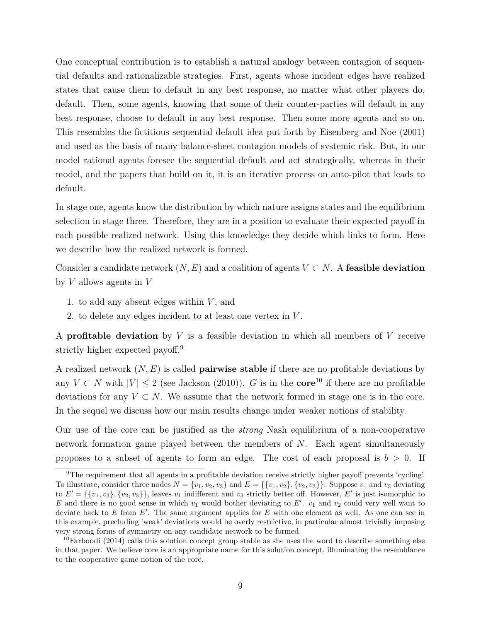One conceptual contribution is to establish a natural analogy between contagion of sequential defaults and rationalizable strategies. First, agents whose incident edges have realized states that cause them to default in any best response, no matter what other players do, default. Then, some agents, knowing that some of their counter-parties will default in any best response, choose to default in any best response. Then some more agents and so on. This resembles the fictitious sequential default idea put forth by Eisenberg and Noe (2001) and used as the basis of many balance-sheet contagion models of systemic risk. But, in our model rational agents foresee the sequential default and act strategically, whereas in their model, and the papers that build on it, it is an iterative process on auto-pilot that leads to default.

In stage one, agents know the distribution by which nature assigns states and the equilibrium selection in stage three. Therefore, they are in a position to evaluate their expected payoff in each possible realized network. Using this knowledge they decide which links to form. Here we describe how the realized network is formed.

Consider a candidate network  $(N, E)$  and a coalition of agents  $V \subset N$ . A **feasible deviation** by *V* allows agents in *V*

- 1. to add any absent edges within *V* , and
- 2. to delete any edges incident to at least one vertex in *V* .

A **profitable deviation** by *V* is a feasible deviation in which all members of *V* receive strictly higher expected payoff.<sup>9</sup>

A realized network (*N, E*) is called **pairwise stable** if there are no profitable deviations by any  $V \subset N$  with  $|V| \leq 2$  (see Jackson (2010)). *G* is in the **core**<sup>10</sup> if there are no profitable deviations for any  $V \subset N$ . We assume that the network formed in stage one is in the core. In the sequel we discuss how our main results change under weaker notions of stability.

Our use of the core can be justified as the *strong* Nash equilibrium of a non-cooperative network formation game played between the members of *N*. Each agent simultaneously proposes to a subset of agents to form an edge. The cost of each proposal is *b >* 0. If

<sup>9</sup>The requirement that all agents in a profitable deviation receive strictly higher payoff prevents 'cycling'. To illustrate, consider three nodes  $N = \{v_1, v_2, v_3\}$  and  $E = \{\{v_1, v_2\}, \{v_2, v_3\}\}\.$  Suppose  $v_1$  and  $v_3$  deviating to  $E' = \{\{v_1, v_3\}, \{v_2, v_3\}\}\$ , leaves  $v_1$  indifferent and  $v_3$  strictly better off. However,  $E'$  is just isomorphic to  $E$  and there is no good sense in which  $v_1$  would bother deviating to  $E'$ .  $v_1$  and  $v_2$  could very well want to deviate back to  $E$  from  $E'$ . The same argument applies for  $E$  with one element as well. As one can see in this example, precluding 'weak' deviations would be overly restrictive, in particular almost trivially imposing very strong forms of symmetry on any candidate network to be formed.

<sup>&</sup>lt;sup>10</sup>Farboodi (2014) calls this solution concept group stable as she uses the word to describe something else in that paper. We believe core is an appropriate name for this solution concept, illuminating the resemblance to the cooperative game notion of the core.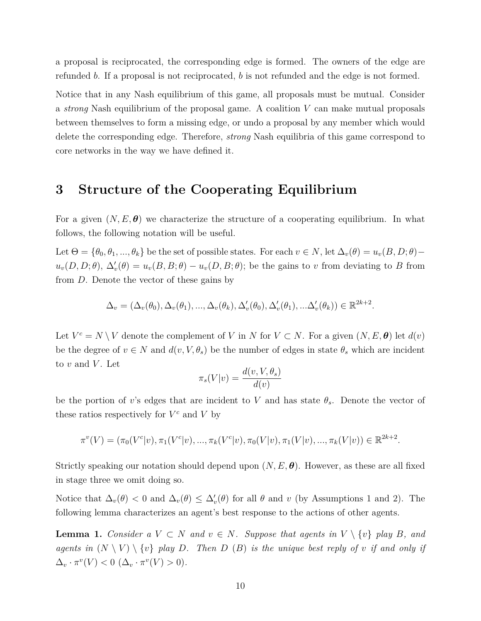a proposal is reciprocated, the corresponding edge is formed. The owners of the edge are refunded *b*. If a proposal is not reciprocated, *b* is not refunded and the edge is not formed.

Notice that in any Nash equilibrium of this game, all proposals must be mutual. Consider a *strong* Nash equilibrium of the proposal game. A coalition *V* can make mutual proposals between themselves to form a missing edge, or undo a proposal by any member which would delete the corresponding edge. Therefore, *strong* Nash equilibria of this game correspond to core networks in the way we have defined it.

### **3 Structure of the Cooperating Equilibrium**

For a given  $(N, E, \theta)$  we characterize the structure of a cooperating equilibrium. In what follows, the following notation will be useful.

Let  $\Theta = {\theta_0, \theta_1, ..., \theta_k}$  be the set of possible states. For each  $v \in N$ , let  $\Delta_v(\theta) = u_v(B, D; \theta)$  $u_v(D, D; \theta)$ ,  $\Delta'_v(\theta) = u_v(B, B; \theta) - u_v(D, B; \theta)$ ; be the gains to *v* from deviating to *B* from from *D*. Denote the vector of these gains by

$$
\Delta_v = (\Delta_v(\theta_0), \Delta_v(\theta_1), ..., \Delta_v(\theta_k), \Delta_v'(\theta_0), \Delta_v'(\theta_1), ... \Delta_v'(\theta_k)) \in \mathbb{R}^{2k+2}.
$$

Let  $V^c = N \setminus V$  denote the complement of *V* in *N* for  $V \subset N$ . For a given  $(N, E, \theta)$  let  $d(v)$ be the degree of  $v \in N$  and  $d(v, V, \theta_s)$  be the number of edges in state  $\theta_s$  which are incident to  $v$  and  $V$ . Let

$$
\pi_s(V|v) = \frac{d(v, V, \theta_s)}{d(v)}
$$

be the portion of *v*'s edges that are incident to *V* and has state  $\theta_s$ . Denote the vector of these ratios respectively for  $V^c$  and  $V$  by

$$
\pi^{v}(V) = (\pi_0(V^{c}|v), \pi_1(V^{c}|v), ..., \pi_k(V^{c}|v), \pi_0(V|v), \pi_1(V|v), ..., \pi_k(V|v)) \in \mathbb{R}^{2k+2}.
$$

Strictly speaking our notation should depend upon (*N, E, θ*). However, as these are all fixed in stage three we omit doing so.

Notice that  $\Delta_v(\theta) < 0$  and  $\Delta_v(\theta) \leq \Delta'_v(\theta)$  for all  $\theta$  and  $v$  (by Assumptions 1 and 2). The following lemma characterizes an agent's best response to the actions of other agents.

**Lemma 1.** *Consider a*  $V \subset N$  *and*  $v \in N$ *. Suppose that agents in*  $V \setminus \{v\}$  *play B, and agents in*  $(N \setminus V) \setminus \{v\}$  *play D.* Then *D* (*B*) *is the unique best reply of v if and only if*  $\Delta_v \cdot \pi^v(V) < 0 \; (\Delta_v \cdot \pi^v(V) > 0).$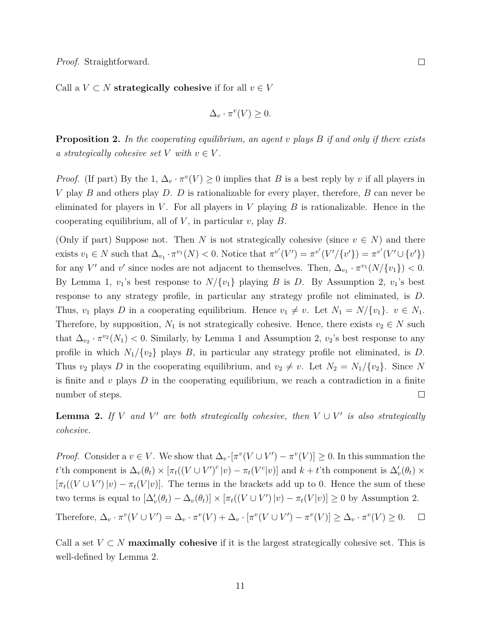Call a  $V \subset N$  **strategically cohesive** if for all  $v \in V$ 

$$
\Delta_v \cdot \pi^v(V) \ge 0.
$$

**Proposition 2.** *In the cooperating equilibrium, an agent v plays B if and only if there exists a* strategically cohesive set  $V$  with  $v \in V$ .

*Proof.* (If part) By the 1,  $\Delta_v \cdot \pi^v(V) \ge 0$  implies that *B* is a best reply by *v* if all players in *V* play *B* and others play *D*. *D* is rationalizable for every player, therefore, *B* can never be eliminated for players in  $V$ . For all players in  $V$  playing  $B$  is rationalizable. Hence in the cooperating equilibrium, all of *V* , in particular *v*, play *B*.

(Only if part) Suppose not. Then *N* is not strategically cohesive (since  $v \in N$ ) and there exists  $v_1 \in N$  such that  $\Delta_{v_1} \cdot \pi^{v_1}(N) < 0$ . Notice that  $\pi^{v'}(V') = \pi^{v'}(V'/\{v'\}) = \pi^{v'}(V' \cup \{v'\})$ for any *V'* and *v'* since nodes are not adjacent to themselves. Then,  $\Delta_{v_1} \cdot \pi^{v_1}(N/\{v_1\}) < 0$ . By Lemma 1,  $v_1$ 's best response to  $N/\{v_1\}$  playing *B* is *D*. By Assumption 2,  $v_1$ 's best response to any strategy profile, in particular any strategy profile not eliminated, is *D*. Thus, *v*<sub>1</sub> plays *D* in a cooperating equilibrium. Hence  $v_1 \neq v$ . Let  $N_1 = N/{v_1}$ .  $v \in N_1$ . Therefore, by supposition,  $N_1$  is not strategically cohesive. Hence, there exists  $v_2 \in N$  such that  $\Delta_{v_2} \cdot \pi^{v_2}(N_1) < 0$ . Similarly, by Lemma 1 and Assumption 2,  $v_2$ 's best response to any profile in which  $N_1/\{v_2\}$  plays *B*, in particular any strategy profile not eliminated, is *D*. Thus  $v_2$  plays *D* in the cooperating equilibrium, and  $v_2 \neq v$ . Let  $N_2 = N_1/\{v_2\}$ . Since *N* is finite and *v* plays *D* in the cooperating equilibrium, we reach a contradiction in a finite  $\Box$ number of steps.

**Lemma 2.** If *V* and *V*<sup>'</sup> are both strategically cohesive, then  $V \cup V'$  is also strategically *cohesive.*

*Proof.* Consider a  $v \in V$ . We show that  $\Delta_v \cdot [\pi^v(V \cup V') - \pi^v(V)] \geq 0$ . In this summation the t'th component is  $\Delta_v(\theta_t) \times [\pi_t((V \cup V')^c | v) - \pi_t(V^c | v)]$  and  $k + t$ 'th component is  $\Delta'_v(\theta_t) \times$  $[\pi_t((V \cup V') | v) - \pi_t(V | v)].$  The terms in the brackets add up to 0. Hence the sum of these two terms is equal to  $[\Delta'_v(\theta_t) - \Delta_v(\theta_t)] \times [\pi_t((V \cup V') | v) - \pi_t(V | v)] \ge 0$  by Assumption 2.

Therefore,  $\Delta_v \cdot \pi^v(V \cup V') = \Delta_v \cdot \pi^v(V) + \Delta_v \cdot [\pi^v(V \cup V') - \pi^v(V)] \geq \Delta_v \cdot \pi^v(V) \geq 0.$  $\Box$ 

Call a set  $V \subset N$  **maximally cohesive** if it is the largest strategically cohesive set. This is well-defined by Lemma 2.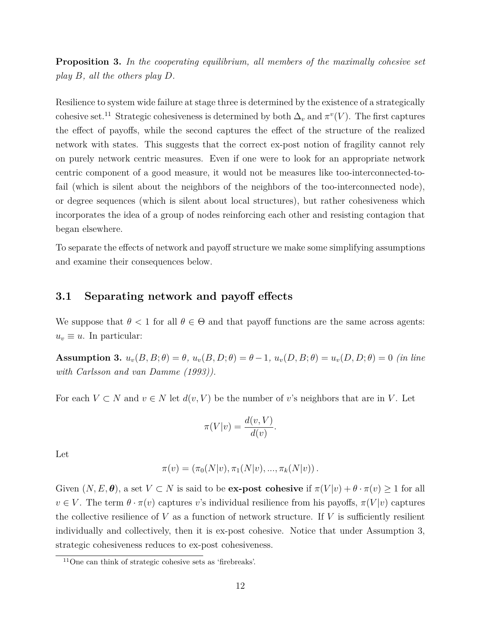**Proposition 3.** *In the cooperating equilibrium, all members of the maximally cohesive set play B, all the others play D.*

Resilience to system wide failure at stage three is determined by the existence of a strategically cohesive set.<sup>11</sup> Strategic cohesiveness is determined by both  $\Delta_v$  and  $\pi^v(V)$ . The first captures the effect of payoffs, while the second captures the effect of the structure of the realized network with states. This suggests that the correct ex-post notion of fragility cannot rely on purely network centric measures. Even if one were to look for an appropriate network centric component of a good measure, it would not be measures like too-interconnected-tofail (which is silent about the neighbors of the neighbors of the too-interconnected node), or degree sequences (which is silent about local structures), but rather cohesiveness which incorporates the idea of a group of nodes reinforcing each other and resisting contagion that began elsewhere.

To separate the effects of network and payoff structure we make some simplifying assumptions and examine their consequences below.

### **3.1 Separating network and payoff effects**

We suppose that  $\theta$  < 1 for all  $\theta \in \Theta$  and that payoff functions are the same across agents:  $u_v \equiv u$ . In particular:

**Assumption 3.**  $u_v(B, B; \theta) = \theta$ ,  $u_v(B, D; \theta) = \theta - 1$ ,  $u_v(D, B; \theta) = u_v(D, D; \theta) = 0$  (in line *with Carlsson and van Damme (1993)).*

For each  $V \subset N$  and  $v \in N$  let  $d(v, V)$  be the number of *v*'s neighbors that are in V. Let

$$
\pi(V|v) = \frac{d(v,V)}{d(v)}.
$$

Let

$$
\pi(v) = (\pi_0(N|v), \pi_1(N|v), ..., \pi_k(N|v)).
$$

Given  $(N, E, \theta)$ , a set  $V \subset N$  is said to be **ex-post cohesive** if  $\pi(V|v) + \theta \cdot \pi(v) \ge 1$  for all  $v \in V$ . The term  $\theta \cdot \pi(v)$  captures *v*'s individual resilience from his payoffs,  $\pi(V|v)$  captures the collective resilience of *V* as a function of network structure. If *V* is sufficiently resilient individually and collectively, then it is ex-post cohesive. Notice that under Assumption 3, strategic cohesiveness reduces to ex-post cohesiveness.

<sup>11</sup>One can think of strategic cohesive sets as 'firebreaks'.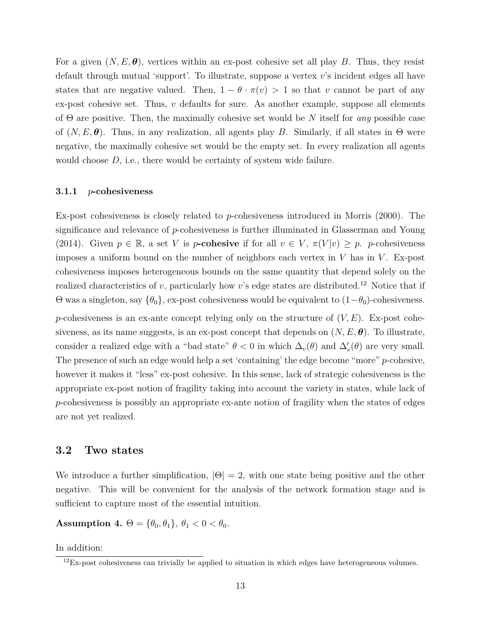For a given  $(N, E, \theta)$ , vertices within an ex-post cohesive set all play B. Thus, they resist default through mutual 'support'. To illustrate, suppose a vertex *v*'s incident edges all have states that are negative valued. Then,  $1 - \theta \cdot \pi(v) > 1$  so that *v* cannot be part of any ex-post cohesive set. Thus, *v* defaults for sure. As another example, suppose all elements of Θ are positive. Then, the maximally cohesive set would be *N* itself for *any* possible case of  $(N, E, \theta)$ . Thus, in any realization, all agents play *B*. Similarly, if all states in  $\Theta$  were negative, the maximally cohesive set would be the empty set. In every realization all agents would choose *D*, i.e., there would be certainty of system wide failure.

#### **3.1.1** *p***-cohesiveness**

Ex-post cohesiveness is closely related to *p*-cohesiveness introduced in Morris (2000). The significance and relevance of *p*-cohesiveness is further illuminated in Glasserman and Young (2014). Given  $p \in \mathbb{R}$ , a set *V* is *p***-cohesive** if for all  $v \in V$ ,  $\pi(V|v) \geq p$ . *p*-cohesiveness imposes a uniform bound on the number of neighbors each vertex in *V* has in *V* . Ex-post cohesiveness imposes heterogeneous bounds on the same quantity that depend solely on the realized characteristics of  $v$ , particularly how  $v$ 's edge states are distributed.<sup>12</sup> Notice that if  $Θ$  was a singleton, say  ${θ_0}$ , ex-post cohesiveness would be equivalent to  $(1-θ_0)$ -cohesiveness. *p*-cohesiveness is an ex-ante concept relying only on the structure of  $(V, E)$ . Ex-post cohesiveness, as its name suggests, is an ex-post concept that depends on  $(N, E, \theta)$ . To illustrate, consider a realized edge with a "bad state"  $\theta < 0$  in which  $\Delta_v(\theta)$  and  $\Delta'_v(\theta)$  are very small. The presence of such an edge would help a set 'containing' the edge become "more" *p*-cohesive, however it makes it "less" ex-post cohesive. In this sense, lack of strategic cohesiveness is the appropriate ex-post notion of fragility taking into account the variety in states, while lack of *p*-cohesiveness is possibly an appropriate ex-ante notion of fragility when the states of edges are not yet realized.

### **3.2 Two states**

We introduce a further simplification,  $|\Theta| = 2$ , with one state being positive and the other negative. This will be convenient for the analysis of the network formation stage and is sufficient to capture most of the essential intuition.

**Assumption 4.**  $\Theta = {\theta_0, \theta_1}, \theta_1 < 0 < \theta_0$ .

In addition:

 $12$ Ex-post cohesiveness can trivially be applied to situation in which edges have heterogeneous volumes.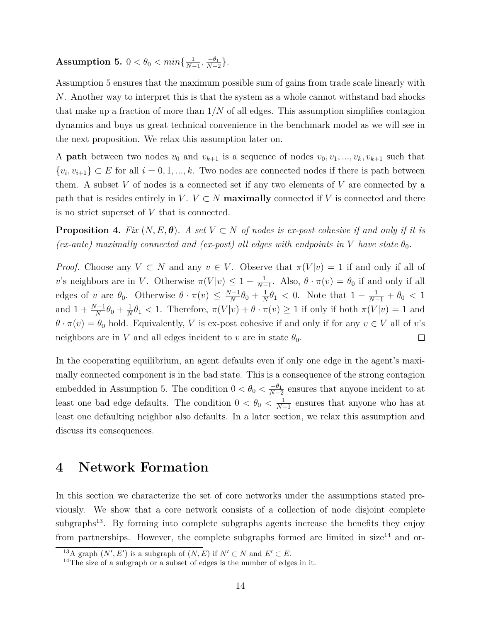**Assumption 5.**  $0 < \theta_0 < min\{\frac{1}{N}\}$  $\frac{1}{N-1}, \frac{-\theta_1}{N-2}$  $\frac{-\theta_1}{N-2}\}$ .

Assumption 5 ensures that the maximum possible sum of gains from trade scale linearly with *N*. Another way to interpret this is that the system as a whole cannot withstand bad shocks that make up a fraction of more than 1*/N* of all edges. This assumption simplifies contagion dynamics and buys us great technical convenience in the benchmark model as we will see in the next proposition. We relax this assumption later on.

A **path** between two nodes  $v_0$  and  $v_{k+1}$  is a sequence of nodes  $v_0, v_1, ..., v_k, v_{k+1}$  such that  $\{v_i, v_{i+1}\} \subset E$  for all  $i = 0, 1, ..., k$ . Two nodes are connected nodes if there is path between them. A subset *V* of nodes is a connected set if any two elements of *V* are connected by a path that is resides entirely in  $V$ .  $V \subset N$  **maximally** connected if V is connected and there is no strict superset of *V* that is connected.

**Proposition 4.** *Fix*  $(N, E, \theta)$ *. A set*  $V \subset N$  *of nodes is ex-post cohesive if and only if it is (ex-ante)* maximally connected and *(ex-post)* all edges with endpoints in *V* have state  $\theta_0$ .

*Proof.* Choose any  $V \subset N$  and any  $v \in V$ . Observe that  $\pi(V|v) = 1$  if and only if all of *v*'s neighbors are in *V*. Otherwise  $\pi(V|v) \leq 1 - \frac{1}{N}$  $\frac{1}{N-1}$ . Also,  $\theta \cdot \pi(v) = \theta_0$  if and only if all edges of *v* are  $\theta_0$ . Otherwise  $\theta \cdot \pi(v) \leq \frac{N-1}{N}$  $\frac{N-1}{N}\theta_0 + \frac{1}{N}$  $\frac{1}{N}\theta_1$  < 0. Note that  $1 - \frac{1}{N-1} + \theta_0$  < 1 and  $1 + \frac{N-1}{N} \theta_0 + \frac{1}{N}$  $\frac{1}{N}\theta_1 < 1$ . Therefore,  $\pi(V|v) + \theta \cdot \pi(v) \ge 1$  if only if both  $\pi(V|v) = 1$  and  $\theta \cdot \pi(v) = \theta_0$  hold. Equivalently, *V* is ex-post cohesive if and only if for any  $v \in V$  all of *v*'s neighbors are in *V* and all edges incident to *v* are in state  $\theta_0$ .  $\Box$ 

In the cooperating equilibrium, an agent defaults even if only one edge in the agent's maximally connected component is in the bad state. This is a consequence of the strong contagion embedded in Assumption 5. The condition  $0 < \theta_0 < \frac{-\theta_1}{N-5}$  $\frac{-\theta_1}{N-2}$  ensures that anyone incident to at least one bad edge defaults. The condition  $0 < \theta_0 < \frac{1}{N}$  $\frac{1}{N-1}$  ensures that anyone who has at least one defaulting neighbor also defaults. In a later section, we relax this assumption and discuss its consequences.

### **4 Network Formation**

In this section we characterize the set of core networks under the assumptions stated previously. We show that a core network consists of a collection of node disjoint complete subgraphs<sup>13</sup>. By forming into complete subgraphs agents increase the benefits they enjoy from partnerships. However, the complete subgraphs formed are limited in size<sup>14</sup> and or-

<sup>&</sup>lt;sup>13</sup>A graph  $(N', E')$  is a subgraph of  $(N, E)$  if  $N' \subset N$  and  $E' \subset E$ .

 $14$ The size of a subgraph or a subset of edges is the number of edges in it.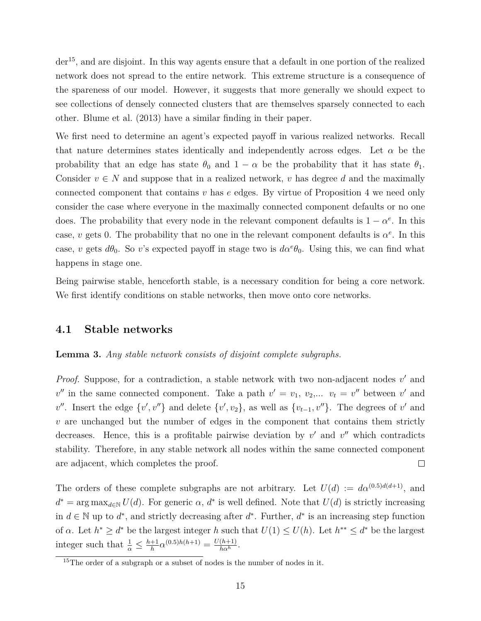$der<sup>15</sup>$ , and are disjoint. In this way agents ensure that a default in one portion of the realized network does not spread to the entire network. This extreme structure is a consequence of the spareness of our model. However, it suggests that more generally we should expect to see collections of densely connected clusters that are themselves sparsely connected to each other. Blume et al. (2013) have a similar finding in their paper.

We first need to determine an agent's expected payoff in various realized networks. Recall that nature determines states identically and independently across edges. Let  $\alpha$  be the probability that an edge has state  $\theta_0$  and  $1 - \alpha$  be the probability that it has state  $\theta_1$ . Consider  $v \in N$  and suppose that in a realized network, *v* has degree *d* and the maximally connected component that contains *v* has *e* edges. By virtue of Proposition 4 we need only consider the case where everyone in the maximally connected component defaults or no one does. The probability that every node in the relevant component defaults is  $1 - \alpha^e$ . In this case, *v* gets 0. The probability that no one in the relevant component defaults is  $\alpha^e$ . In this case, *v* gets  $d\theta_0$ . So *v*'s expected payoff in stage two is  $d\alpha^e\theta_0$ . Using this, we can find what happens in stage one.

Being pairwise stable, henceforth stable, is a necessary condition for being a core network. We first identify conditions on stable networks, then move onto core networks.

### **4.1 Stable networks**

#### **Lemma 3.** *Any stable network consists of disjoint complete subgraphs.*

*Proof.* Suppose, for a contradiction, a stable network with two non-adjacent nodes v' and  $v''$  in the same connected component. Take a path  $v' = v_1, v_2,... v_t = v''$  between  $v'$  and  $v''$ . Insert the edge  $\{v', v''\}$  and delete  $\{v', v_2\}$ , as well as  $\{v_{t-1}, v''\}$ . The degrees of  $v'$  and *v* are unchanged but the number of edges in the component that contains them strictly decreases. Hence, this is a profitable pairwise deviation by  $v'$  and  $v''$  which contradicts stability. Therefore, in any stable network all nodes within the same connected component are adjacent, which completes the proof.  $\Box$ 

The orders of these complete subgraphs are not arbitrary. Let  $U(d) := d\alpha^{(0.5)d(d+1)}$ , and  $d^* = \arg \max_{d \in \mathbb{N}} U(d)$ . For generic  $\alpha$ ,  $d^*$  is well defined. Note that  $U(d)$  is strictly increasing in  $d \in \mathbb{N}$  up to  $d^*$ , and strictly decreasing after  $d^*$ . Further,  $d^*$  is an increasing step function of  $\alpha$ . Let  $h^* \geq d^*$  be the largest integer *h* such that  $U(1) \leq U(h)$ . Let  $h^{**} \leq d^*$  be the largest integer such that  $\frac{1}{\alpha} \leq \frac{h+1}{h}$  $\frac{1}{h}a^{(0.5)h(h+1)} = \frac{U(h+1)}{h\alpha^h}.$ 

 $15$ The order of a subgraph or a subset of nodes is the number of nodes in it.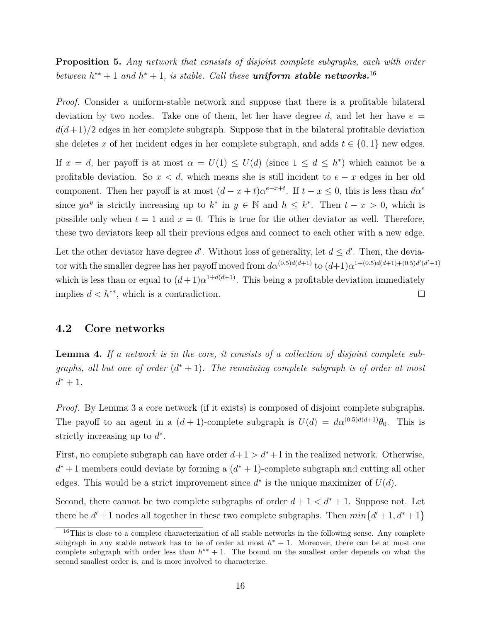**Proposition 5.** *Any network that consists of disjoint complete subgraphs, each with order between*  $h^{**} + 1$  *and*  $h^* + 1$ *, is stable. Call these uniform stable networks.<sup>16</sup>* 

*Proof.* Consider a uniform-stable network and suppose that there is a profitable bilateral deviation by two nodes. Take one of them, let her have degree  $d$ , and let her have  $e =$  $d(d+1)/2$  edges in her complete subgraph. Suppose that in the bilateral profitable deviation she deletes *x* of her incident edges in her complete subgraph, and adds  $t \in \{0, 1\}$  new edges.

If  $x = d$ , her payoff is at most  $\alpha = U(1) \leq U(d)$  (since  $1 \leq d \leq h^*$ ) which cannot be a profitable deviation. So  $x < d$ , which means she is still incident to  $e - x$  edges in her old component. Then her payoff is at most  $(d - x + t)a^{e-x+t}$ . If  $t - x \leq 0$ , this is less than  $d\alpha^e$ since  $y\alpha^y$  is strictly increasing up to  $k^*$  in  $y \in \mathbb{N}$  and  $h \leq k^*$ . Then  $t - x > 0$ , which is possible only when  $t = 1$  and  $x = 0$ . This is true for the other deviator as well. Therefore, these two deviators keep all their previous edges and connect to each other with a new edge.

Let the other deviator have degree  $d'$ . Without loss of generality, let  $d \leq d'$ . Then, the deviator with the smaller degree has her payoff moved from  $d\alpha^{(0.5)d(d+1)}$  to  $(d+1)\alpha^{1+(0.5)d(d+1)+(0.5)d'(d'+1)}$ which is less than or equal to  $(d+1)\alpha^{1+d(d+1)}$ . This being a profitable deviation immediately implies  $d < h^{**}$ , which is a contradiction.  $\Box$ 

### **4.2 Core networks**

**Lemma 4.** *If a network is in the core, it consists of a collection of disjoint complete subgraphs, all but one of order*  $(d^* + 1)$ *. The remaining complete subgraph is of order at most*  $d^* + 1$ .

*Proof.* By Lemma 3 a core network (if it exists) is composed of disjoint complete subgraphs. The payoff to an agent in a  $(d+1)$ -complete subgraph is  $U(d) = d\alpha^{(0.5)d(d+1)}\theta_0$ . This is strictly increasing up to  $d^*$ .

First, no complete subgraph can have order  $d+1 > d^*+1$  in the realized network. Otherwise, *d*<sup>\*</sup> + 1 members could deviate by forming a (*d*<sup>\*</sup> + 1)-complete subgraph and cutting all other edges. This would be a strict improvement since  $d^*$  is the unique maximizer of  $U(d)$ .

Second, there cannot be two complete subgraphs of order  $d+1 < d^* + 1$ . Suppose not. Let there be  $d' + 1$  nodes all together in these two complete subgraphs. Then  $min\{d' + 1, d^* + 1\}$ 

<sup>&</sup>lt;sup>16</sup>This is close to a complete characterization of all stable networks in the following sense. Any complete subgraph in any stable network has to be of order at most  $h^* + 1$ . Moreover, there can be at most one complete subgraph with order less than  $h^{**} + 1$ . The bound on the smallest order depends on what the second smallest order is, and is more involved to characterize.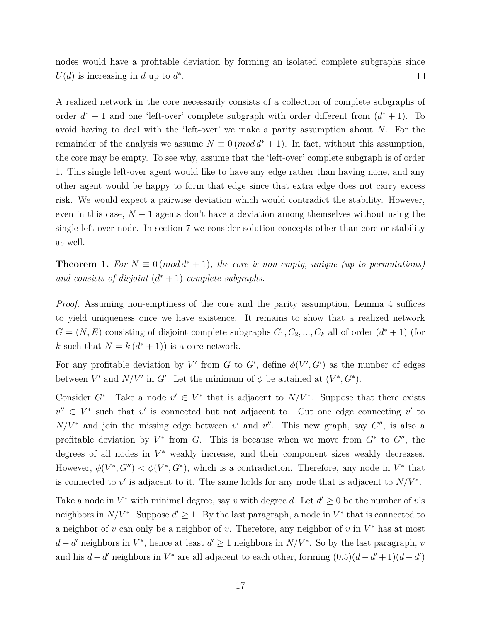nodes would have a profitable deviation by forming an isolated complete subgraphs since  $U(d)$  is increasing in *d* up to  $d^*$ .  $\Box$ 

A realized network in the core necessarily consists of a collection of complete subgraphs of order  $d^* + 1$  and one 'left-over' complete subgraph with order different from  $(d^* + 1)$ . To avoid having to deal with the 'left-over' we make a parity assumption about *N*. For the remainder of the analysis we assume  $N \equiv 0 \pmod{d^* + 1}$ . In fact, without this assumption, the core may be empty. To see why, assume that the 'left-over' complete subgraph is of order 1. This single left-over agent would like to have any edge rather than having none, and any other agent would be happy to form that edge since that extra edge does not carry excess risk. We would expect a pairwise deviation which would contradict the stability. However, even in this case,  $N-1$  agents don't have a deviation among themselves without using the single left over node. In section 7 we consider solution concepts other than core or stability as well.

**Theorem 1.** For  $N \equiv 0 \pmod{d^* + 1}$ , the core is non-empty, unique (up to permutations) and consists of disjoint  $(d^* + 1)$ -complete subgraphs.

*Proof.* Assuming non-emptiness of the core and the parity assumption, Lemma 4 suffices to yield uniqueness once we have existence. It remains to show that a realized network  $G = (N, E)$  consisting of disjoint complete subgraphs  $C_1, C_2, ..., C_k$  all of order  $(d^* + 1)$  (for *k* such that  $N = k(d^* + 1)$  is a core network.

For any profitable deviation by V' from *G* to *G*', define  $\phi(V', G')$  as the number of edges between *V'* and *N/V'* in *G'*. Let the minimum of  $\phi$  be attained at  $(V^*, G^*)$ .

Consider  $G^*$ . Take a node  $v' \in V^*$  that is adjacent to  $N/V^*$ . Suppose that there exists  $v'' \in V^*$  such that *v*' is connected but not adjacent to. Cut one edge connecting *v*' to  $N/V^*$  and join the missing edge between *v*' and *v*". This new graph, say  $G''$ , is also a profitable deviation by  $V^*$  from *G*. This is because when we move from  $G^*$  to  $G''$ , the degrees of all nodes in  $V^*$  weakly increase, and their component sizes weakly decreases. However,  $\phi(V^*, G'') < \phi(V^*, G^*)$ , which is a contradiction. Therefore, any node in V<sup>\*</sup> that is connected to  $v'$  is adjacent to it. The same holds for any node that is adjacent to  $N/V^*$ .

Take a node in  $V^*$  with minimal degree, say *v* with degree *d*. Let  $d' \geq 0$  be the number of *v*'s neighbors in  $N/V^*$ . Suppose  $d' \geq 1$ . By the last paragraph, a node in  $V^*$  that is connected to a neighbor of *v* can only be a neighbor of *v*. Therefore, any neighbor of *v* in *V* <sup>∗</sup> has at most  $d - d'$  neighbors in  $V^*$ , hence at least  $d' \geq 1$  neighbors in  $N/V^*$ . So by the last paragraph, *v* and his  $d - d'$  neighbors in  $V^*$  are all adjacent to each other, forming  $(0.5)(d - d' + 1)(d - d')$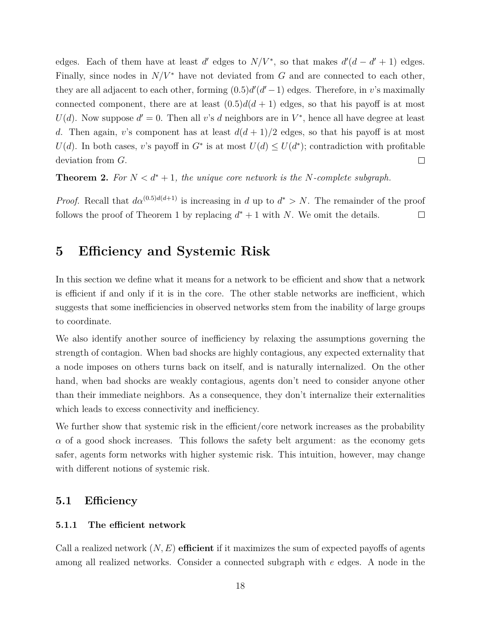edges. Each of them have at least *d'* edges to  $N/V^*$ , so that makes  $d'(d - d' + 1)$  edges. Finally, since nodes in  $N/V^*$  have not deviated from G and are connected to each other, they are all adjacent to each other, forming  $(0.5)d'(d'-1)$  edges. Therefore, in *v*'s maximally connected component, there are at least  $(0.5)d(d+1)$  edges, so that his payoff is at most  $U(d)$ . Now suppose  $d' = 0$ . Then all *v*'s *d* neighbors are in  $V^*$ , hence all have degree at least *d*. Then again, *v*'s component has at least  $d(d+1)/2$  edges, so that his payoff is at most *U*(*d*). In both cases, *v*'s payoff in *G*<sup>\*</sup> is at most  $U(d) \le U(d^*)$ ; contradiction with profitable deviation from *G*.  $\Box$ 

**Theorem 2.** For  $N < d^* + 1$ , the unique core network is the N-complete subgraph.

*Proof.* Recall that  $d\alpha^{(0.5)d(d+1)}$  is increasing in *d* up to  $d^* > N$ . The remainder of the proof follows the proof of Theorem 1 by replacing  $d^* + 1$  with *N*. We omit the details.  $\Box$ 

### **5 Efficiency and Systemic Risk**

In this section we define what it means for a network to be efficient and show that a network is efficient if and only if it is in the core. The other stable networks are inefficient, which suggests that some inefficiencies in observed networks stem from the inability of large groups to coordinate.

We also identify another source of inefficiency by relaxing the assumptions governing the strength of contagion. When bad shocks are highly contagious, any expected externality that a node imposes on others turns back on itself, and is naturally internalized. On the other hand, when bad shocks are weakly contagious, agents don't need to consider anyone other than their immediate neighbors. As a consequence, they don't internalize their externalities which leads to excess connectivity and inefficiency.

We further show that systemic risk in the efficient/core network increases as the probability  $\alpha$  of a good shock increases. This follows the safety belt argument: as the economy gets safer, agents form networks with higher systemic risk. This intuition, however, may change with different notions of systemic risk.

### **5.1 Efficiency**

### **5.1.1 The efficient network**

Call a realized network (*N, E*) **efficient** if it maximizes the sum of expected payoffs of agents among all realized networks. Consider a connected subgraph with *e* edges. A node in the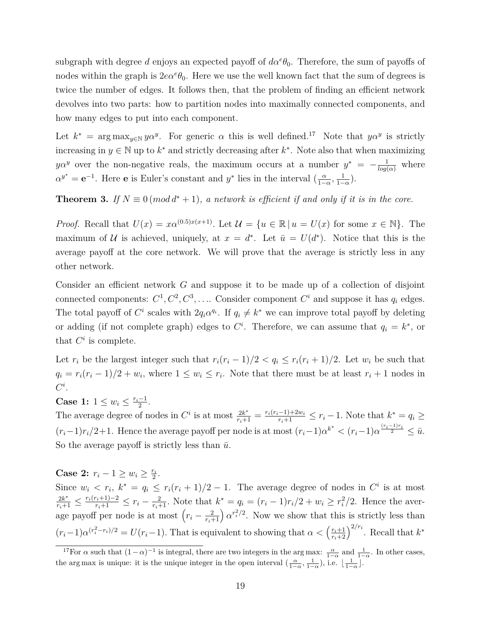subgraph with degree *d* enjoys an expected payoff of  $d\alpha^e\theta_0$ . Therefore, the sum of payoffs of nodes within the graph is  $2e^{\theta}$ , Here we use the well known fact that the sum of degrees is twice the number of edges. It follows then, that the problem of finding an efficient network devolves into two parts: how to partition nodes into maximally connected components, and how many edges to put into each component.

Let  $k^*$  = arg max<sub>y∈N</sub>  $y\alpha^y$ . For generic  $\alpha$  this is well defined.<sup>17</sup> Note that  $y\alpha^y$  is strictly increasing in  $y \in \mathbb{N}$  up to  $k^*$  and strictly decreasing after  $k^*$ . Note also that when maximizing *yα<sup><i>y*</sup> over the non-negative reals, the maximum occurs at a number  $y^* = -\frac{1}{log(a)}$  where  $\alpha^{y^*} = e^{-1}$ . Here **e** is Euler's constant and *y*<sup>\*</sup> lies in the interval  $\left(\frac{\alpha}{1 - \alpha}\right)$  $\frac{\alpha}{1-\alpha}$ ,  $\frac{1}{1-\alpha}$  $rac{1}{1-\alpha}$ ).

### **Theorem 3.** If  $N \equiv 0 \pmod{d^* + 1}$ , a network is efficient if and only if it is in the core.

*Proof.* Recall that  $U(x) = x\alpha^{(0.5)x(x+1)}$ . Let  $\mathcal{U} = \{u \in \mathbb{R} \mid u = U(x) \text{ for some } x \in \mathbb{N}\}\$ . The maximum of U is achieved, uniquely, at  $x = d^*$ . Let  $\bar{u} = U(d^*)$ . Notice that this is the average payoff at the core network. We will prove that the average is strictly less in any other network.

Consider an efficient network *G* and suppose it to be made up of a collection of disjoint connected components:  $C^1, C^2, C^3, \ldots$  Consider component  $C^i$  and suppose it has  $q_i$  edges. The total payoff of  $C^i$  scales with  $2q_i\alpha^{q_i}$ . If  $q_i \neq k^*$  we can improve total payoff by deleting or adding (if not complete graph) edges to  $C<sup>i</sup>$ . Therefore, we can assume that  $q_i = k^*$ , or that  $C^i$  is complete.

Let  $r_i$  be the largest integer such that  $r_i(r_i-1)/2 < q_i \leq r_i(r_i+1)/2$ . Let  $w_i$  be such that  $q_i = r_i(r_i - 1)/2 + w_i$ , where  $1 \leq w_i \leq r_i$ . Note that there must be at least  $r_i + 1$  nodes in *C i* .

**Case 1:**  $1 \leq w_i \leq \frac{r_i-1}{2}$  $\frac{-1}{2}$ .

The average degree of nodes in  $C^i$  is at most  $\frac{2k^*}{r_i+1} = \frac{r_i(r_i-1)+2w_i}{r_i+1} \leq r_i-1$ . Note that  $k^* = q_i \geq$  $(r_i-1)r_i/2+1$ . Hence the average payoff per node is at most  $(r_i-1)\alpha^{k^*} < (r_i-1)\alpha^{\frac{(r_i-1)r_i}{2}} \leq \bar{u}$ . So the average payoff is strictly less than  $\bar{u}$ .

**Case 2:**  $r_i - 1 \ge w_i \ge \frac{r_i}{2}$  $\frac{r_i}{2}$ . Since  $w_i \leq r_i$ ,  $k^* = q_i \leq r_i(r_i+1)/2 - 1$ . The average degree of nodes in  $C^i$  is at most  $\frac{2k^*}{r_i+1} \leq \frac{r_i(r_i+1)-2}{r_i+1} \leq r_i - \frac{2}{r_i+1}$ . Note that  $k^* = q_i = (r_i-1)r_i/2 + w_i \geq r_i^2/2$ . Hence the average payoff per node is at most  $\left(r_i - \frac{2}{r_i+1}\right) \alpha^{r_i^2/2}$ . Now we show that this is strictly less than  $(r_i-1)\alpha^{(r_i^2-r_i)/2} = U(r_i-1)$ . That is equivalent to showing that  $\alpha < (\frac{r_i+1}{r_i+2})^{2/r_i}$ . Recall that  $k^*$ 

<sup>&</sup>lt;sup>17</sup>For  $\alpha$  such that  $(1-\alpha)^{-1}$  is integral, there are two integers in the arg max:  $\frac{\alpha}{1-\alpha}$  and  $\frac{1}{1-\alpha}$ . In other cases, the arg max is unique: it is the unique integer in the open interval  $\left(\frac{\alpha}{1-\alpha}, \frac{1}{1-\alpha}\right)$ , i.e.  $\lfloor \frac{1}{1-\alpha} \rfloor$ .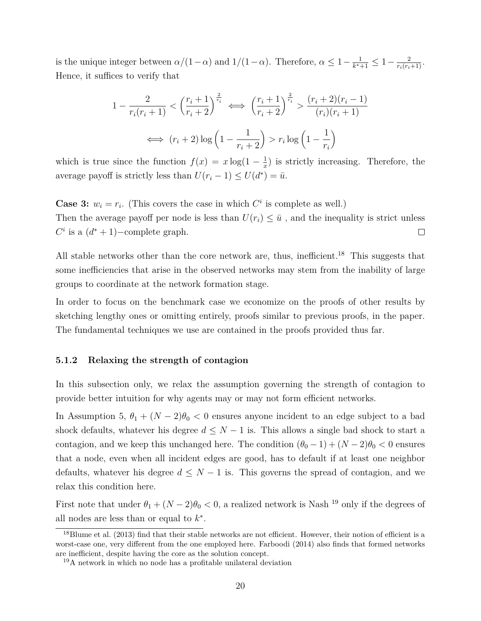is the unique integer between  $\alpha/(1-\alpha)$  and  $1/(1-\alpha)$ . Therefore,  $\alpha \leq 1-\frac{1}{\nu^*}$  $\frac{1}{k^*+1} \leq 1 - \frac{2}{r_i(r_i+1)}$ . Hence, it suffices to verify that

$$
1 - \frac{2}{r_i(r_i+1)} < \left(\frac{r_i+1}{r_i+2}\right)^{\frac{2}{r_i}} \iff \left(\frac{r_i+1}{r_i+2}\right)^{\frac{2}{r_i}} > \frac{(r_i+2)(r_i-1)}{(r_i)(r_i+1)}
$$
\n
$$
\iff (r_i+2)\log\left(1-\frac{1}{r_i+2}\right) > r_i\log\left(1-\frac{1}{r_i}\right)
$$

which is true since the function  $f(x) = x \log(1 - \frac{1}{x})$  $\frac{1}{x}$ ) is strictly increasing. Therefore, the average payoff is strictly less than  $U(r_i - 1) \le U(d^*) = \bar{u}$ .

**Case 3:**  $w_i = r_i$ . (This covers the case in which  $C^i$  is complete as well.) Then the average payoff per node is less than  $U(r_i) \leq \bar{u}$ , and the inequality is strict unless  $C^i$  is a  $(d^* + 1)$ –complete graph.  $\Box$ 

All stable networks other than the core network are, thus, inefficient.<sup>18</sup> This suggests that some inefficiencies that arise in the observed networks may stem from the inability of large groups to coordinate at the network formation stage.

In order to focus on the benchmark case we economize on the proofs of other results by sketching lengthy ones or omitting entirely, proofs similar to previous proofs, in the paper. The fundamental techniques we use are contained in the proofs provided thus far.

#### **5.1.2 Relaxing the strength of contagion**

In this subsection only, we relax the assumption governing the strength of contagion to provide better intuition for why agents may or may not form efficient networks.

In Assumption 5,  $\theta_1 + (N-2)\theta_0 < 0$  ensures anyone incident to an edge subject to a bad shock defaults, whatever his degree  $d \leq N - 1$  is. This allows a single bad shock to start a contagion, and we keep this unchanged here. The condition  $(\theta_0 - 1) + (N - 2)\theta_0 < 0$  ensures that a node, even when all incident edges are good, has to default if at least one neighbor defaults, whatever his degree  $d \leq N-1$  is. This governs the spread of contagion, and we relax this condition here.

First note that under  $\theta_1 + (N-2)\theta_0 < 0$ , a realized network is Nash<sup>19</sup> only if the degrees of all nodes are less than or equal to  $k^*$ .

<sup>&</sup>lt;sup>18</sup>Blume et al. (2013) find that their stable networks are not efficient. However, their notion of efficient is a worst-case one, very different from the one employed here. Farboodi (2014) also finds that formed networks are inefficient, despite having the core as the solution concept.

<sup>19</sup>A network in which no node has a profitable unilateral deviation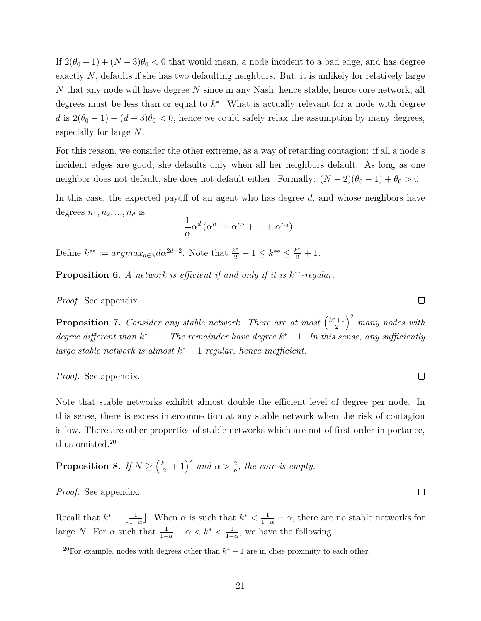If  $2(\theta_0 - 1) + (N - 3)\theta_0 < 0$  that would mean, a node incident to a bad edge, and has degree exactly N, defaults if she has two defaulting neighbors. But, it is unlikely for relatively large *N* that any node will have degree *N* since in any Nash, hence stable, hence core network, all degrees must be less than or equal to *k* ∗ . What is actually relevant for a node with degree *d* is  $2(\theta_0 - 1) + (d - 3)\theta_0 < 0$ , hence we could safely relax the assumption by many degrees, especially for large *N*.

For this reason, we consider the other extreme, as a way of retarding contagion: if all a node's incident edges are good, she defaults only when all her neighbors default. As long as one neighbor does not default, she does not default either. Formally:  $(N-2)(\theta_0-1)+\theta_0>0$ .

In this case, the expected payoff of an agent who has degree *d*, and whose neighbors have degrees  $n_1, n_2, ..., n_d$  is

$$
\frac{1}{\alpha}\alpha^d\left(\alpha^{n_1}+\alpha^{n_2}+\ldots+\alpha^{n_d}\right).
$$

Define  $k^{**} := argmax_{d \in \mathbb{N}} d\alpha^{2d-2}$ . Note that  $\frac{k^*}{2} - 1 \leq k^{**} \leq \frac{k^*}{2} + 1$ .

**Proposition 6.** *A network is efficient if and only if it is k* ∗∗*-regular.*

*Proof.* See appendix.

**Proposition 7.** Consider any stable network. There are at most  $\left(\frac{k^*+1}{2}\right)$ 2 2 *many nodes with degree different than*  $k^* - 1$ *. The remainder have degree*  $k^* - 1$ *. In this sense, any sufficiently large stable network is almost*  $k^* - 1$  *regular, hence inefficient.* 

*Proof.* See appendix.

Note that stable networks exhibit almost double the efficient level of degree per node. In this sense, there is excess interconnection at any stable network when the risk of contagion is low. There are other properties of stable networks which are not of first order importance, thus omitted.<sup>20</sup>

**Proposition 8.** *If*  $N \geq \left(\frac{k^*}{2} + 1\right)^2$  and  $\alpha > \frac{2}{e}$ , the core is empty.

*Proof.* See appendix.

Recall that  $k^* = \lfloor \frac{1}{1 - \epsilon} \rfloor$  $\frac{1}{1-\alpha}$ . When  $\alpha$  is such that  $k^*$  <  $\frac{1}{1-\alpha} - \alpha$ , there are no stable networks for large *N*. For  $\alpha$  such that  $\frac{1}{1-\alpha} - \alpha < k^* < \frac{1}{1-\alpha}$  $\frac{1}{1-\alpha}$ , we have the following.

 $\Box$ 

 $\Box$ 

 $\Box$ 

<sup>&</sup>lt;sup>20</sup>For example, nodes with degrees other than  $k^* - 1$  are in close proximity to each other.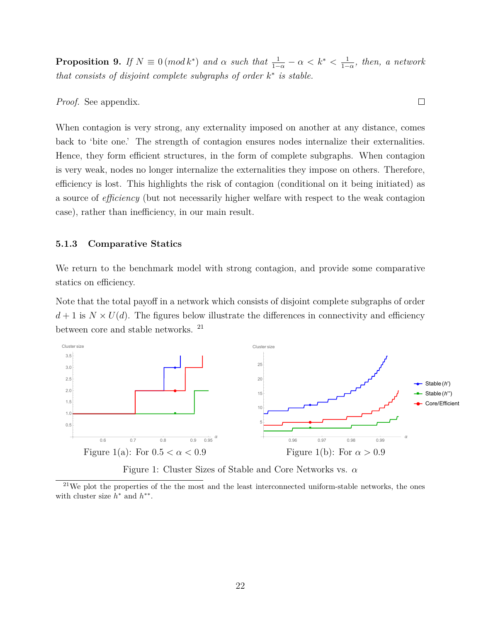**Proposition 9.** *If*  $N \equiv 0 \pmod{k^*}$  *and*  $\alpha$  *such that*  $\frac{1}{1-\alpha} - \alpha < k^* < \frac{1}{1-\alpha}$  $\frac{1}{1−\alpha}$ *, then, a network that consists of disjoint complete subgraphs of order*  $k^*$  *is stable.* 

 $\Box$ 

### *Proof.* See appendix.

When contagion is very strong, any externality imposed on another at any distance, comes back to 'bite one.' The strength of contagion ensures nodes internalize their externalities. Hence, they form efficient structures, in the form of complete subgraphs. When contagion is very weak, nodes no longer internalize the externalities they impose on others. Therefore, efficiency is lost. This highlights the risk of contagion (conditional on it being initiated) as a source of *efficiency* (but not necessarily higher welfare with respect to the weak contagion case), rather than inefficiency, in our main result.

#### **5.1.3 Comparative Statics**

We return to the benchmark model with strong contagion, and provide some comparative statics on efficiency.

Note that the total payoff in a network which consists of disjoint complete subgraphs of order  $d+1$  is  $N \times U(d)$ . The figures below illustrate the differences in connectivity and efficiency between core and stable networks.<sup>21</sup>



Figure 1: Cluster Sizes of Stable and Core Networks vs. *α*

 $21$ We plot the properties of the the most and the least interconnected uniform-stable networks, the ones with cluster size  $h^*$  and  $h^{**}$ .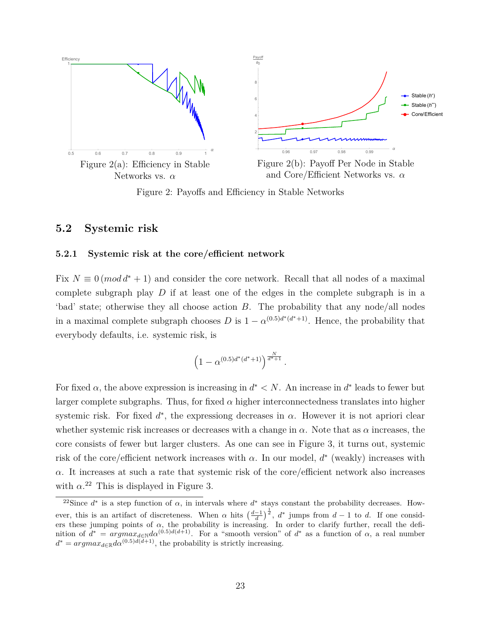



Figure 2(b): Payoff Per Node in Stable and Core/Efficient Networks vs. *α*

Figure 2: Payoffs and Efficiency in Stable Networks

### **5.2 Systemic risk**

#### **5.2.1 Systemic risk at the core/efficient network**

Fix  $N \equiv 0 \pmod{d^*+1}$  and consider the core network. Recall that all nodes of a maximal complete subgraph play *D* if at least one of the edges in the complete subgraph is in a 'bad' state; otherwise they all choose action *B*. The probability that any node/all nodes in a maximal complete subgraph chooses *D* is  $1 - \alpha^{(0.5)d^*(d^*+1)}$ . Hence, the probability that everybody defaults, i.e. systemic risk, is

$$
\left(1 - \alpha^{(0.5)d^*(d^*+1)}\right)^{\frac{N}{d^*+1}}.
$$

For fixed  $\alpha$ , the above expression is increasing in  $d^* < N$ . An increase in  $d^*$  leads to fewer but larger complete subgraphs. Thus, for fixed  $\alpha$  higher interconnectedness translates into higher systemic risk. For fixed  $d^*$ , the expressiong decreases in  $\alpha$ . However it is not apriori clear whether systemic risk increases or decreases with a change in *α*. Note that as *α* increases, the core consists of fewer but larger clusters. As one can see in Figure 3, it turns out, systemic risk of the core/efficient network increases with  $\alpha$ . In our model,  $d^*$  (weakly) increases with  $\alpha$ . It increases at such a rate that systemic risk of the core/efficient network also increases with  $\alpha$ <sup>22</sup> This is displayed in Figure 3.

<sup>&</sup>lt;sup>22</sup>Since  $d^*$  is a step function of  $\alpha$ , in intervals where  $d^*$  stays constant the probability decreases. However, this is an artifact of discreteness. When  $\alpha$  hits  $\left(\frac{d-1}{d}\right)^{\frac{1}{d}}$ ,  $d^*$  jumps from  $d-1$  to  $d$ . If one considers these jumping points of  $\alpha$ , the probability is increasing. In order to clarify further, recall the definition of  $d^* = argmax_{d \in \mathbb{N}} d\alpha^{(0.5)d(d+1)}$ . For a "smooth version" of  $d^*$  as a function of  $\alpha$ , a real number  $d^* = argmax_{d \in \mathbb{R}} d\alpha^{(0.5)d(d+1)}$ , the probability is strictly increasing.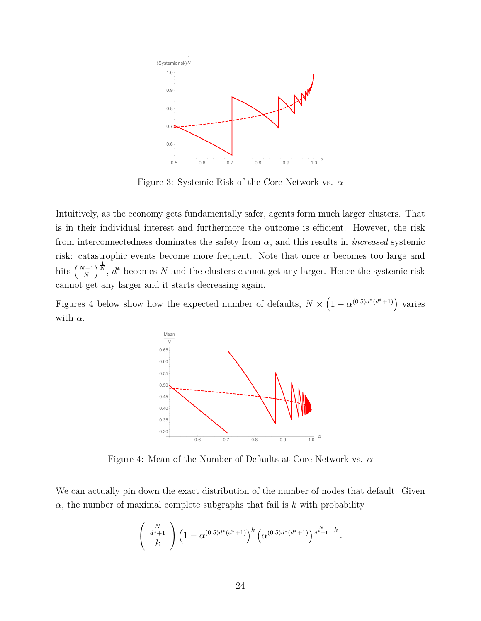

Figure 3: Systemic Risk of the Core Network vs. *α*

Intuitively, as the economy gets fundamentally safer, agents form much larger clusters. That is in their individual interest and furthermore the outcome is efficient. However, the risk from interconnectedness dominates the safety from  $\alpha$ , and this results in *increased* systemic risk: catastrophic events become more frequent. Note that once *α* becomes too large and hits  $\left(\frac{N-1}{N}\right)$ *N*  $\int_{0}^{\frac{1}{N}}$ ,  $d^*$  becomes *N* and the clusters cannot get any larger. Hence the systemic risk cannot get any larger and it starts decreasing again.

Figures 4 below show how the expected number of defaults,  $N \times (1 - \alpha^{(0.5)d^*(d^*+1)})$  varies with  $\alpha$ .



Figure 4: Mean of the Number of Defaults at Core Network vs. *α*

We can actually pin down the exact distribution of the number of nodes that default. Given  $\alpha$ , the number of maximal complete subgraphs that fail is  $k$  with probability

$$
\begin{pmatrix} \frac{N}{d^*+1} \\ k \end{pmatrix} \left(1 - \alpha^{(0.5)d^*(d^*+1)}\right)^k \left(\alpha^{(0.5)d^*(d^*+1)}\right)^{\frac{N}{d^*+1}-k}.
$$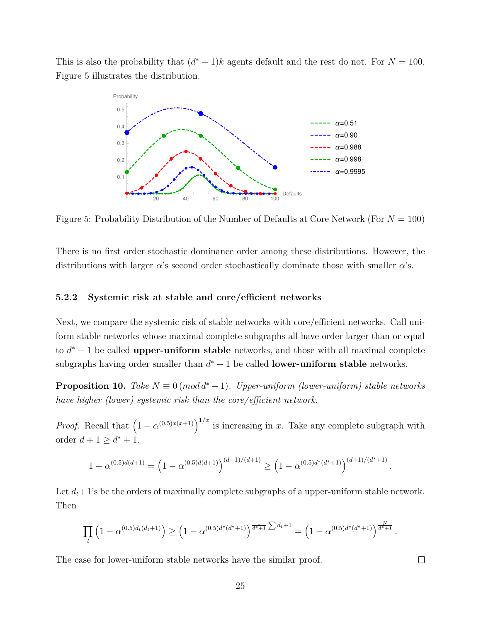This is also the probability that  $(d^* + 1)k$  agents default and the rest do not. For  $N = 100$ , Figure 5 illustrates the distribution.



Figure 5: Probability Distribution of the Number of Defaults at Core Network (For *N* = 100)

There is no first order stochastic dominance order among these distributions. However, the distributions with larger *α*'s second order stochastically dominate those with smaller *α*'s.

#### **5.2.2 Systemic risk at stable and core/efficient networks**

Next, we compare the systemic risk of stable networks with core/efficient networks. Call uniform stable networks whose maximal complete subgraphs all have order larger than or equal to  $d^* + 1$  be called **upper-uniform stable** networks, and those with all maximal complete subgraphs having order smaller than  $d^* + 1$  be called **lower-uniform stable** networks.

**Proposition 10.** *Take*  $N \equiv 0 \pmod{d^* + 1}$ *. Upper-uniform (lower-uniform) stable networks have higher (lower) systemic risk than the core/efficient network.*

*Proof.* Recall that  $(1 - \alpha^{(0.5)x(x+1)})^{1/x}$  is increasing in *x*. Take any complete subgraph with order  $d + 1 \ge d^* + 1$ .

$$
1 - \alpha^{(0.5)d(d+1)} = \left(1 - \alpha^{(0.5)d(d+1)}\right)^{(d+1)/(d+1)} \ge \left(1 - \alpha^{(0.5)d^*(d^*+1)}\right)^{(d+1)/(d^*+1)}
$$

*.*

 $\Box$ 

Let  $d_t+1$ 's be the orders of maximally complete subgraphs of a upper-uniform stable network. Then

$$
\prod_{t} \left(1 - \alpha^{(0.5)d_t(d_t+1)}\right) \ge \left(1 - \alpha^{(0.5)d^*(d^*+1)}\right)^{\frac{1}{d^*+1}\sum d_t+1} = \left(1 - \alpha^{(0.5)d^*(d^*+1)}\right)^{\frac{N}{d^*+1}}.
$$

The case for lower-uniform stable networks have the similar proof.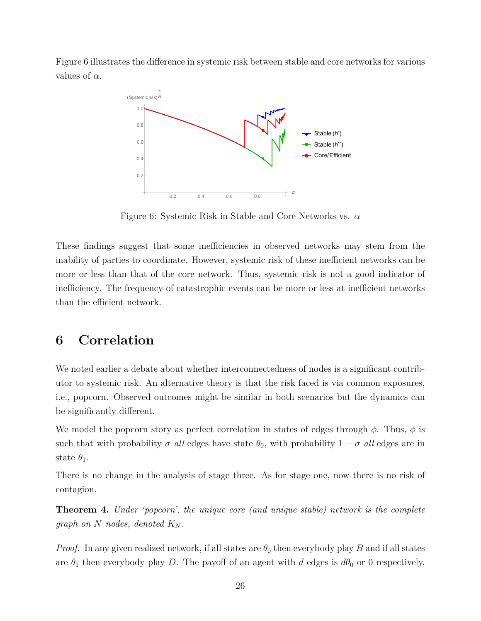Figure 6 illustrates the difference in systemic risk between stable and core networks for various values of *α*.



Figure 6: Systemic Risk in Stable and Core Networks vs. *α*

These findings suggest that some inefficiencies in observed networks may stem from the inability of parties to coordinate. However, systemic risk of these inefficient networks can be more or less than that of the core network. Thus, systemic risk is not a good indicator of inefficiency. The frequency of catastrophic events can be more or less at inefficient networks than the efficient network.

### **6 Correlation**

We noted earlier a debate about whether interconnectedness of nodes is a significant contributor to systemic risk. An alternative theory is that the risk faced is via common exposures, i.e., popcorn. Observed outcomes might be similar in both scenarios but the dynamics can be significantly different.

We model the popcorn story as perfect correlation in states of edges through *φ*. Thus, *φ* is such that with probability  $\sigma$  *all* edges have state  $\theta_0$ , with probability  $1 - \sigma$  *all* edges are in state  $\theta_1$ .

There is no change in the analysis of stage three. As for stage one, now there is no risk of contagion.

**Theorem 4.** *Under 'popcorn', the unique core (and unique stable) network is the complete graph on*  $N$  *nodes, denoted*  $K_N$ *.* 

*Proof.* In any given realized network, if all states are  $\theta_0$  then everybody play *B* and if all states are  $\theta_1$  then everybody play *D*. The payoff of an agent with *d* edges is  $d\theta_0$  or 0 respectively.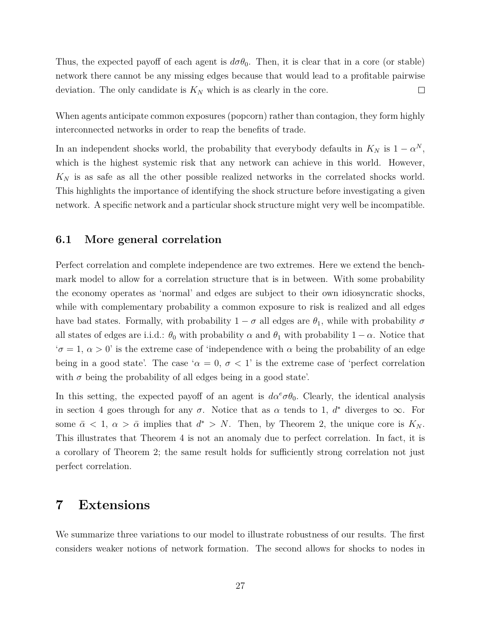Thus, the expected payoff of each agent is  $d\sigma\theta_0$ . Then, it is clear that in a core (or stable) network there cannot be any missing edges because that would lead to a profitable pairwise  $\Box$ deviation. The only candidate is  $K_N$  which is as clearly in the core.

When agents anticipate common exposures (popcorn) rather than contagion, they form highly interconnected networks in order to reap the benefits of trade.

In an independent shocks world, the probability that everybody defaults in  $K_N$  is  $1 - \alpha^N$ , which is the highest systemic risk that any network can achieve in this world. However, *K<sup>N</sup>* is as safe as all the other possible realized networks in the correlated shocks world. This highlights the importance of identifying the shock structure before investigating a given network. A specific network and a particular shock structure might very well be incompatible.

### **6.1 More general correlation**

Perfect correlation and complete independence are two extremes. Here we extend the benchmark model to allow for a correlation structure that is in between. With some probability the economy operates as 'normal' and edges are subject to their own idiosyncratic shocks, while with complementary probability a common exposure to risk is realized and all edges have bad states. Formally, with probability  $1 - \sigma$  all edges are  $\theta_1$ , while with probability  $\sigma$ all states of edges are i.i.d.:  $\theta_0$  with probability  $\alpha$  and  $\theta_1$  with probability  $1 - \alpha$ . Notice that  $\sigma = 1, \alpha > 0$ ' is the extreme case of 'independence with  $\alpha$  being the probability of an edge being in a good state'. The case ' $\alpha = 0$ ,  $\sigma < 1$ ' is the extreme case of 'perfect correlation with  $\sigma$  being the probability of all edges being in a good state'.

In this setting, the expected payoff of an agent is  $d\alpha^e \sigma \theta_0$ . Clearly, the identical analysis in section 4 goes through for any  $\sigma$ . Notice that as  $\alpha$  tends to 1,  $d^*$  diverges to  $\infty$ . For some  $\bar{\alpha}$  < 1,  $\alpha$  >  $\bar{\alpha}$  implies that  $d^*$  > *N*. Then, by Theorem 2, the unique core is  $K_N$ . This illustrates that Theorem 4 is not an anomaly due to perfect correlation. In fact, it is a corollary of Theorem 2; the same result holds for sufficiently strong correlation not just perfect correlation.

### **7 Extensions**

We summarize three variations to our model to illustrate robustness of our results. The first considers weaker notions of network formation. The second allows for shocks to nodes in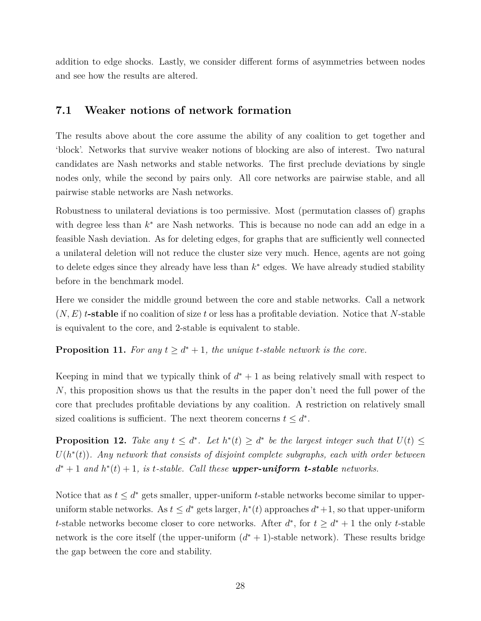addition to edge shocks. Lastly, we consider different forms of asymmetries between nodes and see how the results are altered.

### **7.1 Weaker notions of network formation**

The results above about the core assume the ability of any coalition to get together and 'block'. Networks that survive weaker notions of blocking are also of interest. Two natural candidates are Nash networks and stable networks. The first preclude deviations by single nodes only, while the second by pairs only. All core networks are pairwise stable, and all pairwise stable networks are Nash networks.

Robustness to unilateral deviations is too permissive. Most (permutation classes of) graphs with degree less than  $k^*$  are Nash networks. This is because no node can add an edge in a feasible Nash deviation. As for deleting edges, for graphs that are sufficiently well connected a unilateral deletion will not reduce the cluster size very much. Hence, agents are not going to delete edges since they already have less than  $k^*$  edges. We have already studied stability before in the benchmark model.

Here we consider the middle ground between the core and stable networks. Call a network (*N, E*) *t***-stable** if no coalition of size *t* or less has a profitable deviation. Notice that *N*-stable is equivalent to the core, and 2-stable is equivalent to stable.

### **Proposition 11.** For any  $t \geq d^* + 1$ , the unique *t*-stable network is the core.

Keeping in mind that we typically think of  $d^* + 1$  as being relatively small with respect to *N*, this proposition shows us that the results in the paper don't need the full power of the core that precludes profitable deviations by any coalition. A restriction on relatively small sized coalitions is sufficient. The next theorem concerns  $t \leq d^*$ .

**Proposition 12.** Take any  $t \leq d^*$ . Let  $h^*(t) \geq d^*$  be the largest integer such that  $U(t) \leq$  $U(h^*(t))$ . Any network that consists of disjoint complete subgraphs, each with order between  $d^* + 1$  *and*  $h^*(t) + 1$ *, is t-stable. Call these upper-uniform t-stable networks.* 

Notice that as  $t \leq d^*$  gets smaller, upper-uniform *t*-stable networks become similar to upperuniform stable networks. As  $t \leq d^*$  gets larger,  $h^*(t)$  approaches  $d^*+1$ , so that upper-uniform *t*-stable networks become closer to core networks. After  $d^*$ , for  $t \geq d^* + 1$  the only *t*-stable network is the core itself (the upper-uniform  $(d^* + 1)$ -stable network). These results bridge the gap between the core and stability.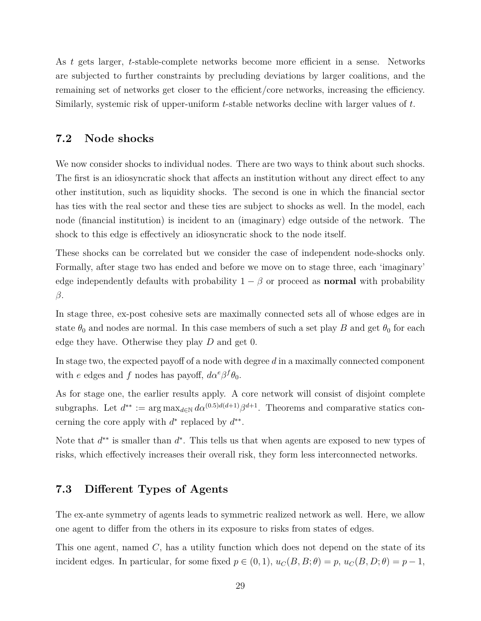As *t* gets larger, *t*-stable-complete networks become more efficient in a sense. Networks are subjected to further constraints by precluding deviations by larger coalitions, and the remaining set of networks get closer to the efficient/core networks, increasing the efficiency. Similarly, systemic risk of upper-uniform *t*-stable networks decline with larger values of *t*.

### **7.2 Node shocks**

We now consider shocks to individual nodes. There are two ways to think about such shocks. The first is an idiosyncratic shock that affects an institution without any direct effect to any other institution, such as liquidity shocks. The second is one in which the financial sector has ties with the real sector and these ties are subject to shocks as well. In the model, each node (financial institution) is incident to an (imaginary) edge outside of the network. The shock to this edge is effectively an idiosyncratic shock to the node itself.

These shocks can be correlated but we consider the case of independent node-shocks only. Formally, after stage two has ended and before we move on to stage three, each 'imaginary' edge independently defaults with probability  $1 - \beta$  or proceed as **normal** with probability *β*.

In stage three, ex-post cohesive sets are maximally connected sets all of whose edges are in state  $\theta_0$  and nodes are normal. In this case members of such a set play *B* and get  $\theta_0$  for each edge they have. Otherwise they play *D* and get 0.

In stage two, the expected payoff of a node with degree *d* in a maximally connected component with *e* edges and *f* nodes has payoff,  $d\alpha^e \beta^f \theta_0$ .

As for stage one, the earlier results apply. A core network will consist of disjoint complete subgraphs. Let  $d^{**} := \arg \max_{d \in \mathbb{N}} d\alpha^{(0.5)d(d+1)} \beta^{d+1}$ . Theorems and comparative statics concerning the core apply with  $d^*$  replaced by  $d^{**}$ .

Note that  $d^{**}$  is smaller than  $d^*$ . This tells us that when agents are exposed to new types of risks, which effectively increases their overall risk, they form less interconnected networks.

### **7.3 Different Types of Agents**

The ex-ante symmetry of agents leads to symmetric realized network as well. Here, we allow one agent to differ from the others in its exposure to risks from states of edges.

This one agent, named *C*, has a utility function which does not depend on the state of its incident edges. In particular, for some fixed  $p \in (0,1)$ ,  $u_C(B, B; \theta) = p$ ,  $u_C(B, D; \theta) = p - 1$ ,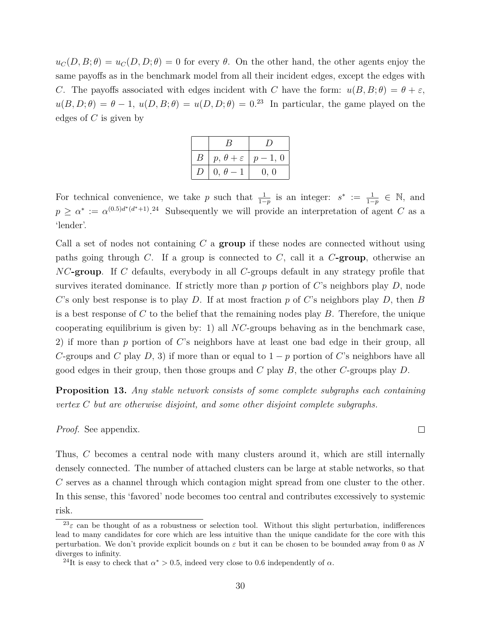$u_C(D, B; \theta) = u_C(D, D; \theta) = 0$  for every  $\theta$ . On the other hand, the other agents enjoy the same payoffs as in the benchmark model from all their incident edges, except the edges with *C*. The payoffs associated with edges incident with *C* have the form:  $u(B, B; \theta) = \theta + \varepsilon$ ,  $u(B, D; \theta) = \theta - 1$ ,  $u(D, B; \theta) = u(D, D; \theta) = 0.23$  In particular, the game played on the edges of *C* is given by

| $\, B \,$      | $ p, \theta + \varepsilon   p-1, 0$ |      |
|----------------|-------------------------------------|------|
| $\overline{D}$ | $0, \theta - 1$                     | 0, 0 |

For technical convenience, we take *p* such that  $\frac{1}{1-p}$  is an integer:  $s^* := \frac{1}{1-p} \in \mathbb{N}$ , and  $p \geq \alpha^* := \alpha^{(0.5)d^*(d^*+1)}$ . 24 Subsequently we will provide an interpretation of agent *C* as a 'lender'.

Call a set of nodes not containing *C* a **group** if these nodes are connected without using paths going through *C*. If a group is connected to *C*, call it a *C***-group**, otherwise an *NC***-group**. If *C* defaults, everybody in all *C*-groups default in any strategy profile that survives iterated dominance. If strictly more than *p* portion of *C*'s neighbors play *D*, node *C*'s only best response is to play *D*. If at most fraction *p* of *C*'s neighbors play *D*, then *B* is a best response of *C* to the belief that the remaining nodes play *B*. Therefore, the unique cooperating equilibrium is given by: 1) all *NC*-groups behaving as in the benchmark case, 2) if more than *p* portion of *C*'s neighbors have at least one bad edge in their group, all *C*-groups and *C* play *D*, 3) if more than or equal to  $1 - p$  portion of *C*'s neighbors have all good edges in their group, then those groups and *C* play *B*, the other *C*-groups play *D*.

**Proposition 13.** *Any stable network consists of some complete subgraphs each containing vertex C but are otherwise disjoint, and some other disjoint complete subgraphs.*

*Proof.* See appendix.

Thus, *C* becomes a central node with many clusters around it, which are still internally densely connected. The number of attached clusters can be large at stable networks, so that *C* serves as a channel through which contagion might spread from one cluster to the other. In this sense, this 'favored' node becomes too central and contributes excessively to systemic risk.

 $\Box$ 

<sup>&</sup>lt;sup>23</sup> $\varepsilon$  can be thought of as a robustness or selection tool. Without this slight perturbation, indifferences lead to many candidates for core which are less intuitive than the unique candidate for the core with this perturbation. We don't provide explicit bounds on *ε* but it can be chosen to be bounded away from 0 as *N* diverges to infinity.

<sup>&</sup>lt;sup>24</sup>It is easy to check that  $\alpha^* > 0.5$ , indeed very close to 0.6 independently of  $\alpha$ .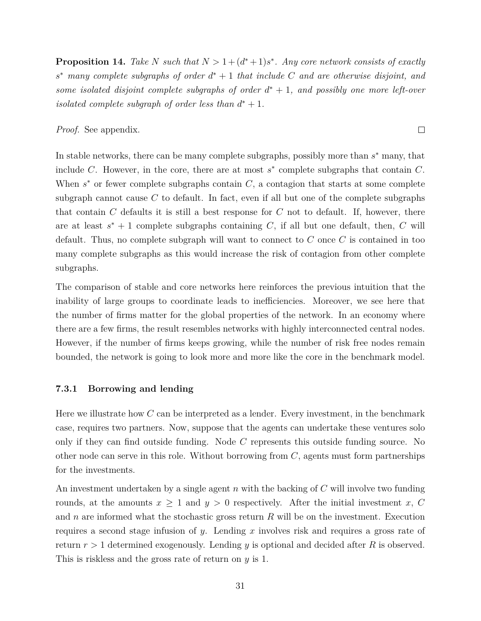**Proposition 14.** Take *N* such that  $N > 1 + (d^* + 1)s^*$ . Any core network consists of exactly  $s^*$  *many complete subgraphs of order*  $d^* + 1$  *that include*  $C$  *and are otherwise disjoint, and some isolated disjoint complete subgraphs of order*  $d^* + 1$ *, and possibly one more left-over isolated complete subgraph of order less than*  $d^* + 1$ *.* 

 $\Box$ 

#### *Proof.* See appendix.

In stable networks, there can be many complete subgraphs, possibly more than *s* <sup>∗</sup> many, that include *C*. However, in the core, there are at most *s* ∗ complete subgraphs that contain *C*. When  $s^*$  or fewer complete subgraphs contain  $C$ , a contagion that starts at some complete subgraph cannot cause  $C$  to default. In fact, even if all but one of the complete subgraphs that contain *C* defaults it is still a best response for *C* not to default. If, however, there are at least  $s^* + 1$  complete subgraphs containing *C*, if all but one default, then, *C* will default. Thus, no complete subgraph will want to connect to *C* once *C* is contained in too many complete subgraphs as this would increase the risk of contagion from other complete subgraphs.

The comparison of stable and core networks here reinforces the previous intuition that the inability of large groups to coordinate leads to inefficiencies. Moreover, we see here that the number of firms matter for the global properties of the network. In an economy where there are a few firms, the result resembles networks with highly interconnected central nodes. However, if the number of firms keeps growing, while the number of risk free nodes remain bounded, the network is going to look more and more like the core in the benchmark model.

#### **7.3.1 Borrowing and lending**

Here we illustrate how *C* can be interpreted as a lender. Every investment, in the benchmark case, requires two partners. Now, suppose that the agents can undertake these ventures solo only if they can find outside funding. Node *C* represents this outside funding source. No other node can serve in this role. Without borrowing from *C*, agents must form partnerships for the investments.

An investment undertaken by a single agent *n* with the backing of *C* will involve two funding rounds, at the amounts  $x \geq 1$  and  $y > 0$  respectively. After the initial investment *x*, *C* and *n* are informed what the stochastic gross return *R* will be on the investment. Execution requires a second stage infusion of *y*. Lending *x* involves risk and requires a gross rate of return *r >* 1 determined exogenously. Lending *y* is optional and decided after *R* is observed. This is riskless and the gross rate of return on *y* is 1.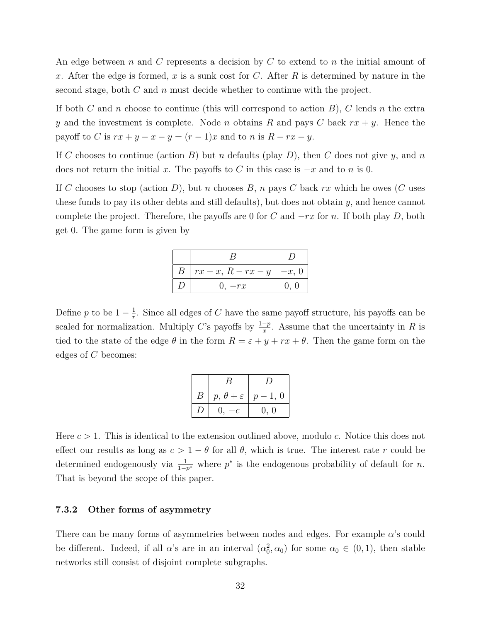An edge between *n* and *C* represents a decision by *C* to extend to *n* the initial amount of *x*. After the edge is formed, *x* is a sunk cost for *C*. After *R* is determined by nature in the second stage, both *C* and *n* must decide whether to continue with the project.

If both *C* and *n* choose to continue (this will correspond to action *B*), *C* lends *n* the extra *y* and the investment is complete. Node *n* obtains *R* and pays *C* back *rx* + *y*. Hence the payoff to *C* is  $rx + y - x - y = (r - 1)x$  and to *n* is  $R - rx - y$ .

If *C* chooses to continue (action *B*) but *n* defaults (play *D*), then *C* does not give *y*, and *n* does not return the initial *x*. The payoffs to *C* in this case is  $-x$  and to *n* is 0.

If *C* chooses to stop (action *D*), but *n* chooses *B*, *n* pays *C* back *rx* which he owes (*C* uses these funds to pay its other debts and still defaults), but does not obtain *y*, and hence cannot complete the project. Therefore, the payoffs are 0 for *C* and −*rx* for *n*. If both play *D*, both get 0. The game form is given by

| $\boldsymbol{B}$ | $rx-x, R-rx-y$ | $-x, 0$ |
|------------------|----------------|---------|
|                  | $0, -rx$       | 0, 0    |

Define *p* to be  $1 - \frac{1}{r}$  $\frac{1}{r}$ . Since all edges of *C* have the same payoff structure, his payoffs can be scaled for normalization. Multiply *C*'s payoffs by  $\frac{1-p}{x}$ . Assume that the uncertainty in *R* is tied to the state of the edge  $\theta$  in the form  $R = \varepsilon + y + rx + \theta$ . Then the game form on the edges of *C* becomes:

|         | В                                     |      |
|---------|---------------------------------------|------|
| $B_{-}$ | $p, \theta + \varepsilon \mid p-1, 0$ |      |
| D       | $0, -$<br>$-c$                        | 0, 0 |

Here *c >* 1. This is identical to the extension outlined above, modulo *c*. Notice this does not effect our results as long as  $c > 1 - \theta$  for all  $\theta$ , which is true. The interest rate *r* could be determined endogenously via  $\frac{1}{1-p^*}$  where  $p^*$  is the endogenous probability of default for *n*. That is beyond the scope of this paper.

### **7.3.2 Other forms of asymmetry**

There can be many forms of asymmetries between nodes and edges. For example *α*'s could be different. Indeed, if all *α*'s are in an interval  $(\alpha_0^2, \alpha_0)$  for some  $\alpha_0 \in (0, 1)$ , then stable networks still consist of disjoint complete subgraphs.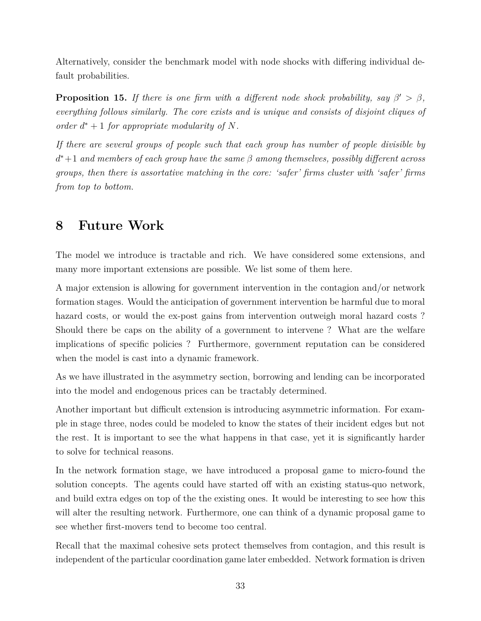Alternatively, consider the benchmark model with node shocks with differing individual default probabilities.

**Proposition 15.** *If there is one firm with a different node shock probability, say*  $\beta' > \beta$ , *everything follows similarly. The core exists and is unique and consists of disjoint cliques of order*  $d^* + 1$  *for appropriate modularity of*  $N$ *.* 

*If there are several groups of people such that each group has number of people divisible by d* <sup>∗</sup>+1 *and members of each group have the same β among themselves, possibly different across groups, then there is assortative matching in the core: 'safer' firms cluster with 'safer' firms from top to bottom.*

## **8 Future Work**

The model we introduce is tractable and rich. We have considered some extensions, and many more important extensions are possible. We list some of them here.

A major extension is allowing for government intervention in the contagion and/or network formation stages. Would the anticipation of government intervention be harmful due to moral hazard costs, or would the ex-post gains from intervention outweigh moral hazard costs? Should there be caps on the ability of a government to intervene ? What are the welfare implications of specific policies ? Furthermore, government reputation can be considered when the model is cast into a dynamic framework.

As we have illustrated in the asymmetry section, borrowing and lending can be incorporated into the model and endogenous prices can be tractably determined.

Another important but difficult extension is introducing asymmetric information. For example in stage three, nodes could be modeled to know the states of their incident edges but not the rest. It is important to see the what happens in that case, yet it is significantly harder to solve for technical reasons.

In the network formation stage, we have introduced a proposal game to micro-found the solution concepts. The agents could have started off with an existing status-quo network, and build extra edges on top of the the existing ones. It would be interesting to see how this will alter the resulting network. Furthermore, one can think of a dynamic proposal game to see whether first-movers tend to become too central.

Recall that the maximal cohesive sets protect themselves from contagion, and this result is independent of the particular coordination game later embedded. Network formation is driven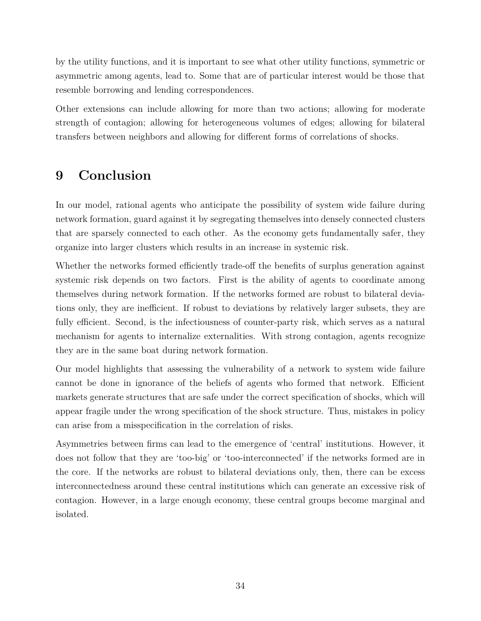by the utility functions, and it is important to see what other utility functions, symmetric or asymmetric among agents, lead to. Some that are of particular interest would be those that resemble borrowing and lending correspondences.

Other extensions can include allowing for more than two actions; allowing for moderate strength of contagion; allowing for heterogeneous volumes of edges; allowing for bilateral transfers between neighbors and allowing for different forms of correlations of shocks.

# **9 Conclusion**

In our model, rational agents who anticipate the possibility of system wide failure during network formation, guard against it by segregating themselves into densely connected clusters that are sparsely connected to each other. As the economy gets fundamentally safer, they organize into larger clusters which results in an increase in systemic risk.

Whether the networks formed efficiently trade-off the benefits of surplus generation against systemic risk depends on two factors. First is the ability of agents to coordinate among themselves during network formation. If the networks formed are robust to bilateral deviations only, they are inefficient. If robust to deviations by relatively larger subsets, they are fully efficient. Second, is the infectiousness of counter-party risk, which serves as a natural mechanism for agents to internalize externalities. With strong contagion, agents recognize they are in the same boat during network formation.

Our model highlights that assessing the vulnerability of a network to system wide failure cannot be done in ignorance of the beliefs of agents who formed that network. Efficient markets generate structures that are safe under the correct specification of shocks, which will appear fragile under the wrong specification of the shock structure. Thus, mistakes in policy can arise from a misspecification in the correlation of risks.

Asymmetries between firms can lead to the emergence of 'central' institutions. However, it does not follow that they are 'too-big' or 'too-interconnected' if the networks formed are in the core. If the networks are robust to bilateral deviations only, then, there can be excess interconnectedness around these central institutions which can generate an excessive risk of contagion. However, in a large enough economy, these central groups become marginal and isolated.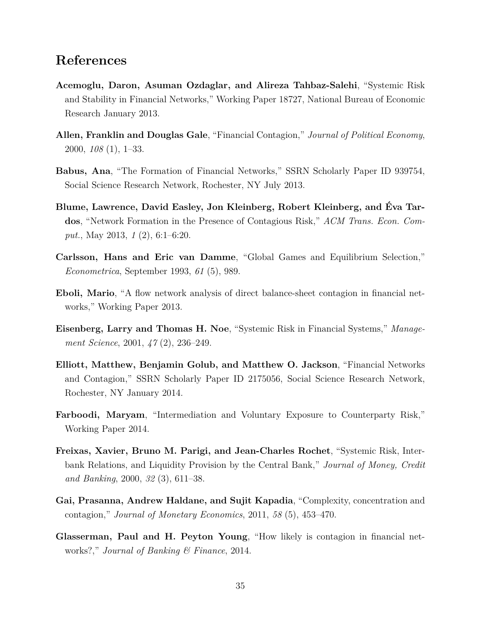### **References**

- **Acemoglu, Daron, Asuman Ozdaglar, and Alireza Tahbaz-Salehi**, "Systemic Risk and Stability in Financial Networks," Working Paper 18727, National Bureau of Economic Research January 2013.
- **Allen, Franklin and Douglas Gale**, "Financial Contagion," *Journal of Political Economy*, 2000, *108* (1), 1–33.
- **Babus, Ana**, "The Formation of Financial Networks," SSRN Scholarly Paper ID 939754, Social Science Research Network, Rochester, NY July 2013.
- **Blume, Lawrence, David Easley, Jon Kleinberg, Robert Kleinberg, and Éva Tardos**, "Network Formation in the Presence of Contagious Risk," *ACM Trans. Econ. Comput.*, May 2013, *1* (2), 6:1–6:20.
- **Carlsson, Hans and Eric van Damme**, "Global Games and Equilibrium Selection," *Econometrica*, September 1993, *61* (5), 989.
- **Eboli, Mario**, "A flow network analysis of direct balance-sheet contagion in financial networks," Working Paper 2013.
- **Eisenberg, Larry and Thomas H. Noe**, "Systemic Risk in Financial Systems," *Management Science*, 2001, *47* (2), 236–249.
- **Elliott, Matthew, Benjamin Golub, and Matthew O. Jackson**, "Financial Networks and Contagion," SSRN Scholarly Paper ID 2175056, Social Science Research Network, Rochester, NY January 2014.
- **Farboodi, Maryam**, "Intermediation and Voluntary Exposure to Counterparty Risk," Working Paper 2014.
- **Freixas, Xavier, Bruno M. Parigi, and Jean-Charles Rochet**, "Systemic Risk, Interbank Relations, and Liquidity Provision by the Central Bank," *Journal of Money, Credit and Banking*, 2000, *32* (3), 611–38.
- **Gai, Prasanna, Andrew Haldane, and Sujit Kapadia**, "Complexity, concentration and contagion," *Journal of Monetary Economics*, 2011, *58* (5), 453–470.
- **Glasserman, Paul and H. Peyton Young**, "How likely is contagion in financial networks?," *Journal of Banking & Finance*, 2014.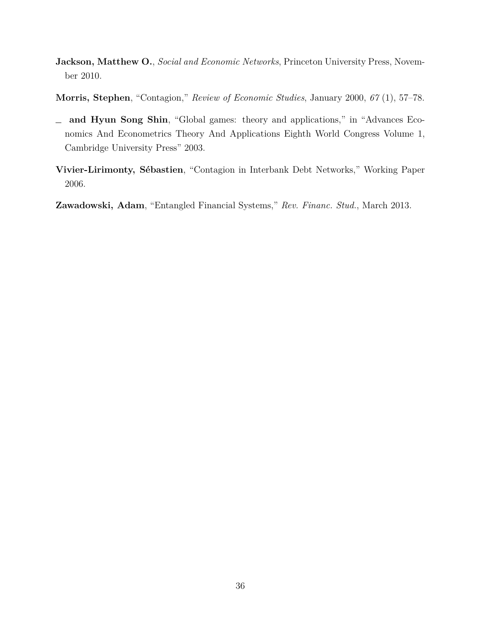- **Jackson, Matthew O.**, *Social and Economic Networks*, Princeton University Press, November 2010.
- **Morris, Stephen**, "Contagion," *Review of Economic Studies*, January 2000, *67* (1), 57–78.
- **and Hyun Song Shin**, "Global games: theory and applications," in "Advances Economics And Econometrics Theory And Applications Eighth World Congress Volume 1, Cambridge University Press" 2003.
- **Vivier-Lirimonty, Sébastien**, "Contagion in Interbank Debt Networks," Working Paper 2006.

**Zawadowski, Adam**, "Entangled Financial Systems," *Rev. Financ. Stud.*, March 2013.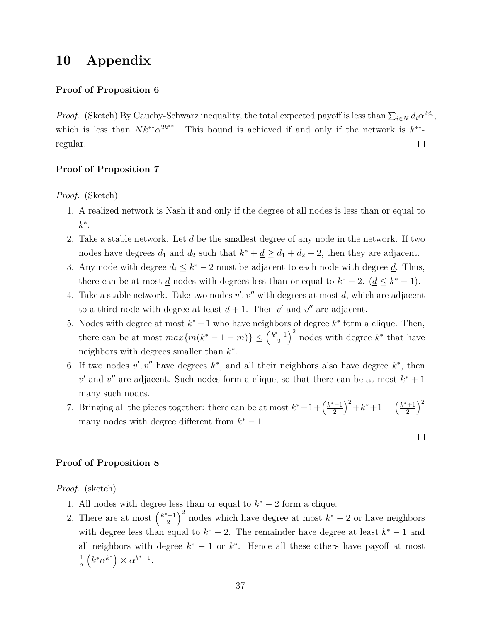### **10 Appendix**

### **Proof of Proposition 6**

*Proof.* (Sketch) By Cauchy-Schwarz inequality, the total expected payoff is less than  $\sum_{i\in N} d_i \alpha^{2d_i}$ , which is less than  $N k^{**} \alpha^{2k^{**}}$ . This bound is achieved if and only if the network is  $k^{**}$ regular.  $\Box$ 

#### **Proof of Proposition 7**

*Proof.* (Sketch)

- 1. A realized network is Nash if and only if the degree of all nodes is less than or equal to *k* ∗ .
- 2. Take a stable network. Let *d* be the smallest degree of any node in the network. If two nodes have degrees  $d_1$  and  $d_2$  such that  $k^* + \underline{d} \geq d_1 + d_2 + 2$ , then they are adjacent.
- 3. Any node with degree  $d_i \leq k^* 2$  must be adjacent to each node with degree <u>d</u>. Thus, there can be at most  $\underline{d}$  nodes with degrees less than or equal to  $k^* - 2$ .  $(\underline{d} \leq k^* - 1)$ .
- 4. Take a stable network. Take two nodes  $v', v''$  with degrees at most  $d$ , which are adjacent to a third node with degree at least  $d + 1$ . Then  $v'$  and  $v''$  are adjacent.
- 5. Nodes with degree at most  $k^* 1$  who have neighbors of degree  $k^*$  form a clique. Then, there can be at most  $max{m(k^* - 1 - m)} \leq (\frac{k^* - 1}{2})$ 2  $\int^2$  nodes with degree  $k^*$  that have neighbors with degrees smaller than *k* ∗ .
- 6. If two nodes  $v', v''$  have degrees  $k^*$ , and all their neighbors also have degree  $k^*$ , then  $v'$  and  $v''$  are adjacent. Such nodes form a clique, so that there can be at most  $k^* + 1$ many such nodes.
- 7. Bringing all the pieces together: there can be at most  $k^* 1 + \left(\frac{k^* 1}{2}\right)$ 2  $\int_0^2 + k^* + 1 = \frac{k^* + 1}{2}$ 2  $\setminus^2$ many nodes with degree different from  $k^* - 1$ .

 $\Box$ 

#### **Proof of Proposition 8**

*Proof.* (sketch)

- 1. All nodes with degree less than or equal to  $k^* 2$  form a clique.
- 2. There are at most  $\left(\frac{k^*-1}{2}\right)$ 2  $\int_{0}^{2}$  nodes which have degree at most  $k^{*} - 2$  or have neighbors with degree less than equal to  $k^* - 2$ . The remainder have degree at least  $k^* - 1$  and all neighbors with degree  $k^* - 1$  or  $k^*$ . Hence all these others have payoff at most 1 *α*  $(k^* \alpha^{k^*}) \times \alpha^{k^*-1}.$